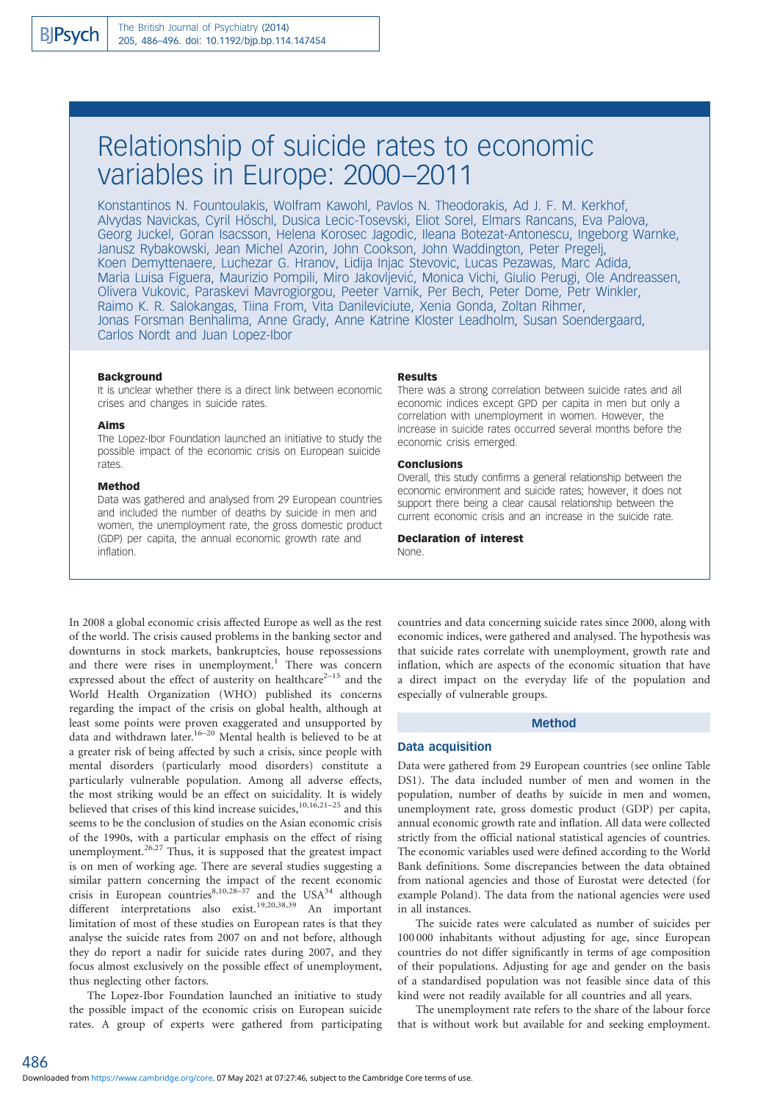# Relationship of suicide rates to economic variables in Europe: 2000–2011

Konstantinos N. Fountoulakis, Wolfram Kawohl, Pavlos N. Theodorakis, Ad J. F. M. Kerkhof, Alvydas Navickas, Cyril Höschl, Dusica Lecic-Tosevski, Eliot Sorel, Elmars Rancans, Eva Palova, Georg Juckel, Goran Isacsson, Helena Korosec Jagodic, Ileana Botezat-Antonescu, Ingeborg Warnke, Janusz Rybakowski, Jean Michel Azorin, John Cookson, John Waddington, Peter Pregelj, Koen Demyttenaere, Luchezar G. Hranov, Lidija Injac Stevovic, Lucas Pezawas, Marc Adida, Maria Luisa Figuera, Maurizio Pompili, Miro Jakovljević, Monica Vichi, Giulio Perugi, Ole Andreassen, Olivera Vukovic, Paraskevi Mavrogiorgou, Peeter Varnik, Per Bech, Peter Dome, Petr Winkler, Raimo K. R. Salokangas, Tiina From, Vita Danileviciute, Xenia Gonda, Zoltan Rihmer, Jonas Forsman Benhalima, Anne Grady, Anne Katrine Kloster Leadholm, Susan Soendergaard, Carlos Nordt and Juan Lopez-Ibor

## **Background**

It is unclear whether there is a direct link between economic crises and changes in suicide rates.

## Aims

The Lopez-Ibor Foundation launched an initiative to study the possible impact of the economic crisis on European suicide rates.

## Method

486

Data was gathered and analysed from 29 European countries and included the number of deaths by suicide in men and women, the unemployment rate, the gross domestic product (GDP) per capita, the annual economic growth rate and inflation.

#### Results

There was a strong correlation between suicide rates and all economic indices except GPD per capita in men but only a correlation with unemployment in women. However, the increase in suicide rates occurred several months before the economic crisis emerged.

## Conclusions

Overall, this study confirms a general relationship between the economic environment and suicide rates; however, it does not support there being a clear causal relationship between the current economic crisis and an increase in the suicide rate.

## Declaration of interest

None.

In 2008 a global economic crisis affected Europe as well as the rest of the world. The crisis caused problems in the banking sector and downturns in stock markets, bankruptcies, house repossessions and there were rises in unemployment.<sup>1</sup> There was concern expressed about the effect of austerity on healthcare $2^{-15}$  and the World Health Organization (WHO) published its concerns regarding the impact of the crisis on global health, although at least some points were proven exaggerated and unsupported by data and withdrawn later.16–20 Mental health is believed to be at a greater risk of being affected by such a crisis, since people with mental disorders (particularly mood disorders) constitute a particularly vulnerable population. Among all adverse effects, the most striking would be an effect on suicidality. It is widely believed that crises of this kind increase suicides,<sup>10,16,21–25</sup> and this seems to be the conclusion of studies on the Asian economic crisis of the 1990s, with a particular emphasis on the effect of rising unemployment.<sup>26,27</sup> Thus, it is supposed that the greatest impact is on men of working age. There are several studies suggesting a similar pattern concerning the impact of the recent economic crisis in European countries<sup>8,10,28–37</sup> and the USA<sup>34</sup> although different interpretations also exist.<sup>19,20,38,39</sup> An important limitation of most of these studies on European rates is that they analyse the suicide rates from 2007 on and not before, although they do report a nadir for suicide rates during 2007, and they focus almost exclusively on the possible effect of unemployment, thus neglecting other factors.

The Lopez-Ibor Foundation launched an initiative to study the possible impact of the economic crisis on European suicide rates. A group of experts were gathered from participating countries and data concerning suicide rates since 2000, along with economic indices, were gathered and analysed. The hypothesis was that suicide rates correlate with unemployment, growth rate and inflation, which are aspects of the economic situation that have a direct impact on the everyday life of the population and especially of vulnerable groups.

#### Method

## Data acquisition

Data were gathered from 29 European countries (see online Table DS1). The data included number of men and women in the population, number of deaths by suicide in men and women, unemployment rate, gross domestic product (GDP) per capita, annual economic growth rate and inflation. All data were collected strictly from the official national statistical agencies of countries. The economic variables used were defined according to the World Bank definitions. Some discrepancies between the data obtained from national agencies and those of Eurostat were detected (for example Poland). The data from the national agencies were used in all instances.

The suicide rates were calculated as number of suicides per 100 000 inhabitants without adjusting for age, since European countries do not differ significantly in terms of age composition of their populations. Adjusting for age and gender on the basis of a standardised population was not feasible since data of this kind were not readily available for all countries and all years.

The unemployment rate refers to the share of the labour force that is without work but available for and seeking employment.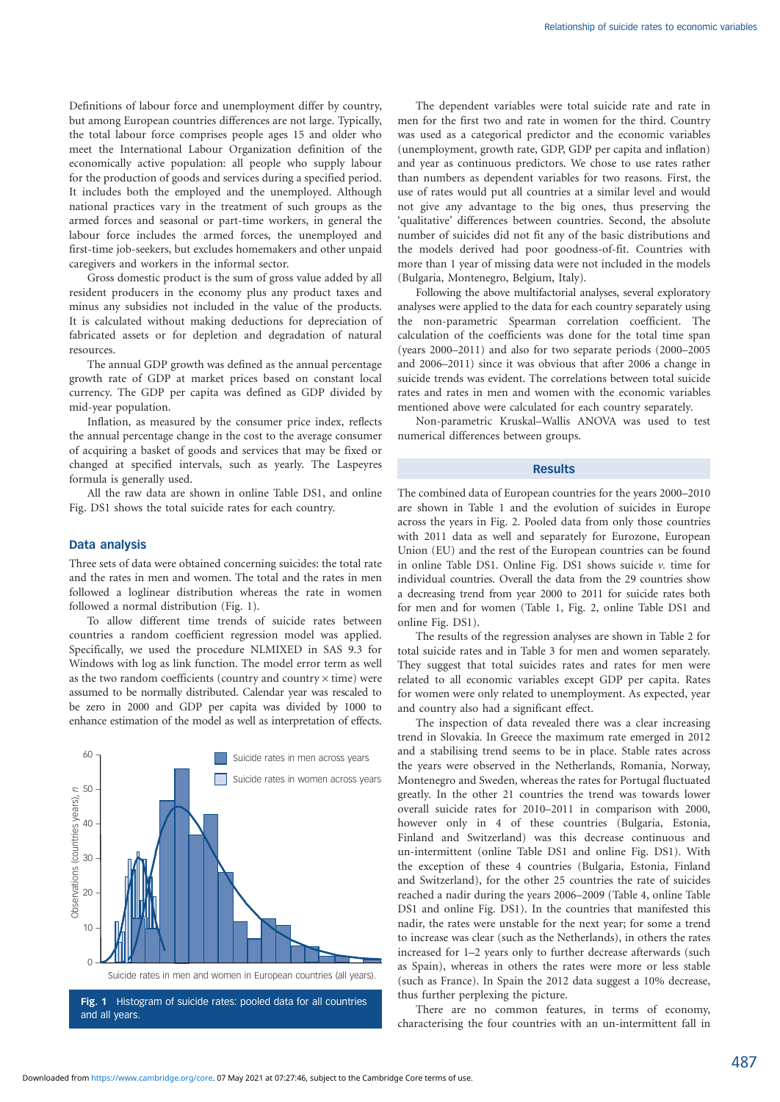Definitions of labour force and unemployment differ by country, but among European countries differences are not large. Typically, the total labour force comprises people ages 15 and older who meet the International Labour Organization definition of the economically active population: all people who supply labour for the production of goods and services during a specified period. It includes both the employed and the unemployed. Although national practices vary in the treatment of such groups as the armed forces and seasonal or part-time workers, in general the labour force includes the armed forces, the unemployed and first-time job-seekers, but excludes homemakers and other unpaid caregivers and workers in the informal sector.

Gross domestic product is the sum of gross value added by all resident producers in the economy plus any product taxes and minus any subsidies not included in the value of the products. It is calculated without making deductions for depreciation of fabricated assets or for depletion and degradation of natural resources.

The annual GDP growth was defined as the annual percentage growth rate of GDP at market prices based on constant local currency. The GDP per capita was defined as GDP divided by mid-year population.

Inflation, as measured by the consumer price index, reflects the annual percentage change in the cost to the average consumer of acquiring a basket of goods and services that may be fixed or changed at specified intervals, such as yearly. The Laspeyres formula is generally used.

All the raw data are shown in online Table DS1, and online Fig. DS1 shows the total suicide rates for each country.

## Data analysis

Three sets of data were obtained concerning suicides: the total rate and the rates in men and women. The total and the rates in men followed a loglinear distribution whereas the rate in women followed a normal distribution (Fig. 1).

To allow different time trends of suicide rates between countries a random coefficient regression model was applied. Specifically, we used the procedure NLMIXED in SAS 9.3 for Windows with log as link function. The model error term as well as the two random coefficients (country and country  $\times$  time) were assumed to be normally distributed. Calendar year was rescaled to be zero in 2000 and GDP per capita was divided by 1000 to enhance estimation of the model as well as interpretation of effects.



The dependent variables were total suicide rate and rate in men for the first two and rate in women for the third. Country was used as a categorical predictor and the economic variables (unemployment, growth rate, GDP, GDP per capita and inflation) and year as continuous predictors. We chose to use rates rather than numbers as dependent variables for two reasons. First, the use of rates would put all countries at a similar level and would not give any advantage to the big ones, thus preserving the 'qualitative' differences between countries. Second, the absolute number of suicides did not fit any of the basic distributions and the models derived had poor goodness-of-fit. Countries with more than 1 year of missing data were not included in the models (Bulgaria, Montenegro, Belgium, Italy).

Following the above multifactorial analyses, several exploratory analyses were applied to the data for each country separately using the non-parametric Spearman correlation coefficient. The calculation of the coefficients was done for the total time span (years 2000–2011) and also for two separate periods (2000–2005 and 2006–2011) since it was obvious that after 2006 a change in suicide trends was evident. The correlations between total suicide rates and rates in men and women with the economic variables mentioned above were calculated for each country separately.

Non-parametric Kruskal–Wallis ANOVA was used to test numerical differences between groups.

#### **Results**

The combined data of European countries for the years 2000–2010 are shown in Table 1 and the evolution of suicides in Europe across the years in Fig. 2. Pooled data from only those countries with 2011 data as well and separately for Eurozone, European Union (EU) and the rest of the European countries can be found in online Table DS1. Online Fig. DS1 shows suicide v. time for individual countries. Overall the data from the 29 countries show a decreasing trend from year 2000 to 2011 for suicide rates both for men and for women (Table 1, Fig. 2, online Table DS1 and online Fig. DS1).

The results of the regression analyses are shown in Table 2 for total suicide rates and in Table 3 for men and women separately. They suggest that total suicides rates and rates for men were related to all economic variables except GDP per capita. Rates for women were only related to unemployment. As expected, year and country also had a significant effect.

The inspection of data revealed there was a clear increasing trend in Slovakia. In Greece the maximum rate emerged in 2012 and a stabilising trend seems to be in place. Stable rates across the years were observed in the Netherlands, Romania, Norway, Montenegro and Sweden, whereas the rates for Portugal fluctuated greatly. In the other 21 countries the trend was towards lower overall suicide rates for 2010–2011 in comparison with 2000, however only in 4 of these countries (Bulgaria, Estonia, Finland and Switzerland) was this decrease continuous and un-intermittent (online Table DS1 and online Fig. DS1). With the exception of these 4 countries (Bulgaria, Estonia, Finland and Switzerland), for the other 25 countries the rate of suicides reached a nadir during the years 2006–2009 (Table 4, online Table DS1 and online Fig. DS1). In the countries that manifested this nadir, the rates were unstable for the next year; for some a trend to increase was clear (such as the Netherlands), in others the rates increased for 1–2 years only to further decrease afterwards (such as Spain), whereas in others the rates were more or less stable (such as France). In Spain the 2012 data suggest a 10% decrease, thus further perplexing the picture.

There are no common features, in terms of economy, characterising the four countries with an un-intermittent fall in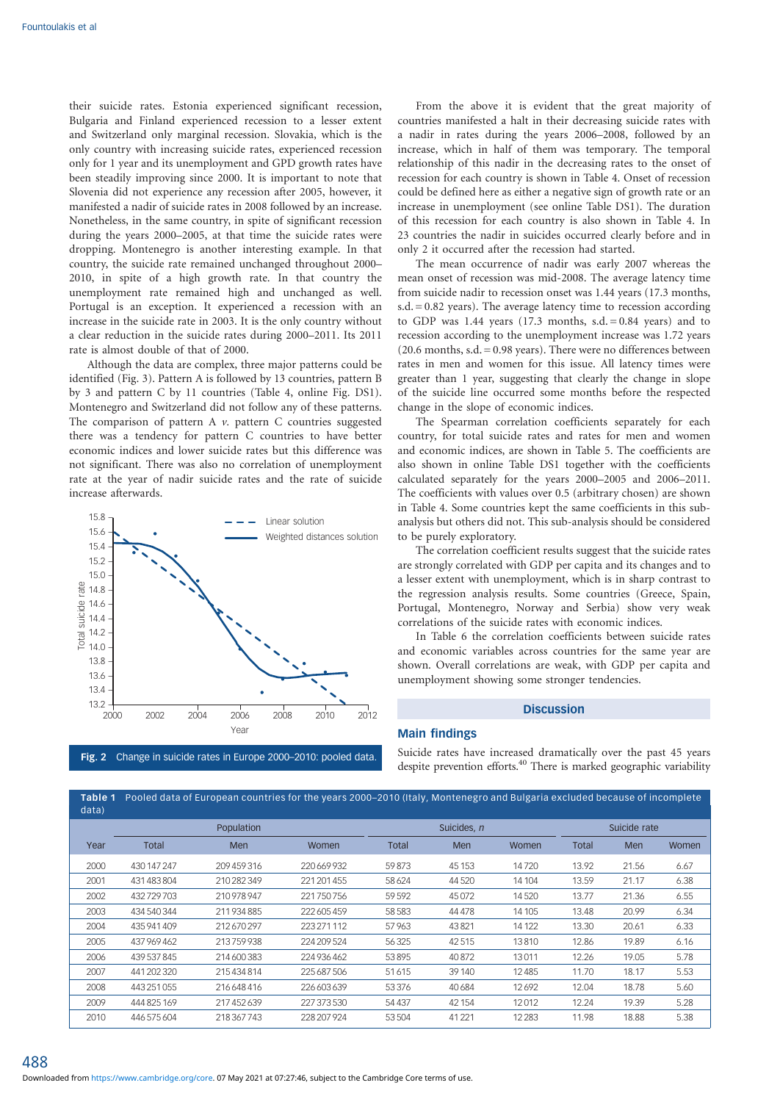their suicide rates. Estonia experienced significant recession, Bulgaria and Finland experienced recession to a lesser extent and Switzerland only marginal recession. Slovakia, which is the only country with increasing suicide rates, experienced recession only for 1 year and its unemployment and GPD growth rates have been steadily improving since 2000. It is important to note that Slovenia did not experience any recession after 2005, however, it manifested a nadir of suicide rates in 2008 followed by an increase. Nonetheless, in the same country, in spite of significant recession during the years 2000–2005, at that time the suicide rates were dropping. Montenegro is another interesting example. In that country, the suicide rate remained unchanged throughout 2000– 2010, in spite of a high growth rate. In that country the unemployment rate remained high and unchanged as well. Portugal is an exception. It experienced a recession with an increase in the suicide rate in 2003. It is the only country without a clear reduction in the suicide rates during 2000–2011. Its 2011 rate is almost double of that of 2000.

Although the data are complex, three major patterns could be identified (Fig. 3). Pattern A is followed by 13 countries, pattern B by 3 and pattern C by 11 countries (Table 4, online Fig. DS1). Montenegro and Switzerland did not follow any of these patterns. The comparison of pattern A  $\nu$ . pattern C countries suggested there was a tendency for pattern C countries to have better economic indices and lower suicide rates but this difference was not significant. There was also no correlation of unemployment rate at the year of nadir suicide rates and the rate of suicide increase afterwards.



Fig. 2 Change in suicide rates in Europe 2000–2010: pooled data.

From the above it is evident that the great majority of countries manifested a halt in their decreasing suicide rates with a nadir in rates during the years 2006–2008, followed by an increase, which in half of them was temporary. The temporal relationship of this nadir in the decreasing rates to the onset of recession for each country is shown in Table 4. Onset of recession could be defined here as either a negative sign of growth rate or an increase in unemployment (see online Table DS1). The duration of this recession for each country is also shown in Table 4. In 23 countries the nadir in suicides occurred clearly before and in only 2 it occurred after the recession had started.

The mean occurrence of nadir was early 2007 whereas the mean onset of recession was mid-2008. The average latency time from suicide nadir to recession onset was 1.44 years (17.3 months, s.d. = 0.82 years). The average latency time to recession according to GDP was  $1.44$  years  $(17.3 \text{ months}, \text{ s.d.} = 0.84 \text{ years})$  and to recession according to the unemployment increase was 1.72 years (20.6 months, s.d. = 0.98 years). There were no differences between rates in men and women for this issue. All latency times were greater than 1 year, suggesting that clearly the change in slope of the suicide line occurred some months before the respected change in the slope of economic indices.

The Spearman correlation coefficients separately for each country, for total suicide rates and rates for men and women and economic indices, are shown in Table 5. The coefficients are also shown in online Table DS1 together with the coefficients calculated separately for the years 2000–2005 and 2006–2011. The coefficients with values over 0.5 (arbitrary chosen) are shown in Table 4. Some countries kept the same coefficients in this subanalysis but others did not. This sub-analysis should be considered to be purely exploratory.

The correlation coefficient results suggest that the suicide rates are strongly correlated with GDP per capita and its changes and to a lesser extent with unemployment, which is in sharp contrast to the regression analysis results. Some countries (Greece, Spain, Portugal, Montenegro, Norway and Serbia) show very weak correlations of the suicide rates with economic indices.

In Table 6 the correlation coefficients between suicide rates and economic variables across countries for the same year are shown. Overall correlations are weak, with GDP per capita and unemployment showing some stronger tendencies.

## **Discussion**

## Main findings

Suicide rates have increased dramatically over the past 45 years despite prevention efforts.<sup>40</sup> There is marked geographic variability

| Table 1<br>data) |             | Pooled data of European countries for the years 2000–2010 (Italy, Montenegro and Bulgaria excluded because of incomplete |              |         |             |              |              |       |       |
|------------------|-------------|--------------------------------------------------------------------------------------------------------------------------|--------------|---------|-------------|--------------|--------------|-------|-------|
|                  |             | Population                                                                                                               |              |         | Suicides, n | Suicide rate |              |       |       |
| Year             | Total       | <b>Men</b>                                                                                                               | <b>Women</b> | Total   | <b>Men</b>  | Women        | <b>Total</b> | Men   | Women |
| 2000             | 430 147 247 | 209 459 316                                                                                                              | 220 669 932  | 59873   | 45 153      | 14720        | 13.92        | 21.56 | 6.67  |
| 2001             | 431 483 804 | 210 282 349                                                                                                              | 221 201 455  | 58 6 24 | 44520       | 14 104       | 13.59        | 21.17 | 6.38  |
| 2002             | 432729703   | 210 978 947                                                                                                              | 221750756    | 59592   | 45072       | 14520        | 13.77        | 21.36 | 6.55  |
| 2003             | 434 540 344 | 211934885                                                                                                                | 222 605 459  | 58583   | 44478       | 14 105       | 13.48        | 20.99 | 6.34  |
| 2004             | 435 941 409 | 212670297                                                                                                                | 223 271 112  | 57963   | 43821       | 14 1 22      | 13.30        | 20.61 | 6.33  |
| 2005             | 437 969 462 | 213759938                                                                                                                | 224 209 524  | 56325   | 42515       | 13810        | 12.86        | 19.89 | 6.16  |
| 2006             | 439 537 845 | 214 600 383                                                                                                              | 224 936 462  | 53895   | 40872       | 13011        | 12.26        | 19.05 | 5.78  |
| 2007             | 441 202 320 | 215434814                                                                                                                | 225 687 506  | 51615   | 39140       | 12485        | 11.70        | 18.17 | 5.53  |
| 2008             | 443 251 055 | 216648416                                                                                                                | 226 603 639  | 53376   | 40684       | 12692        | 12.04        | 18.78 | 5.60  |
| 2009             | 444 825 169 | 217 452 639                                                                                                              | 227 373 530  | 54 437  | 42 154      | 12012        | 12.24        | 19.39 | 5.28  |
| 2010             | 446 575 604 | 218 367 743                                                                                                              | 228 207 924  | 53504   | 41221       | 12283        | 11.98        | 18.88 | 5.38  |

488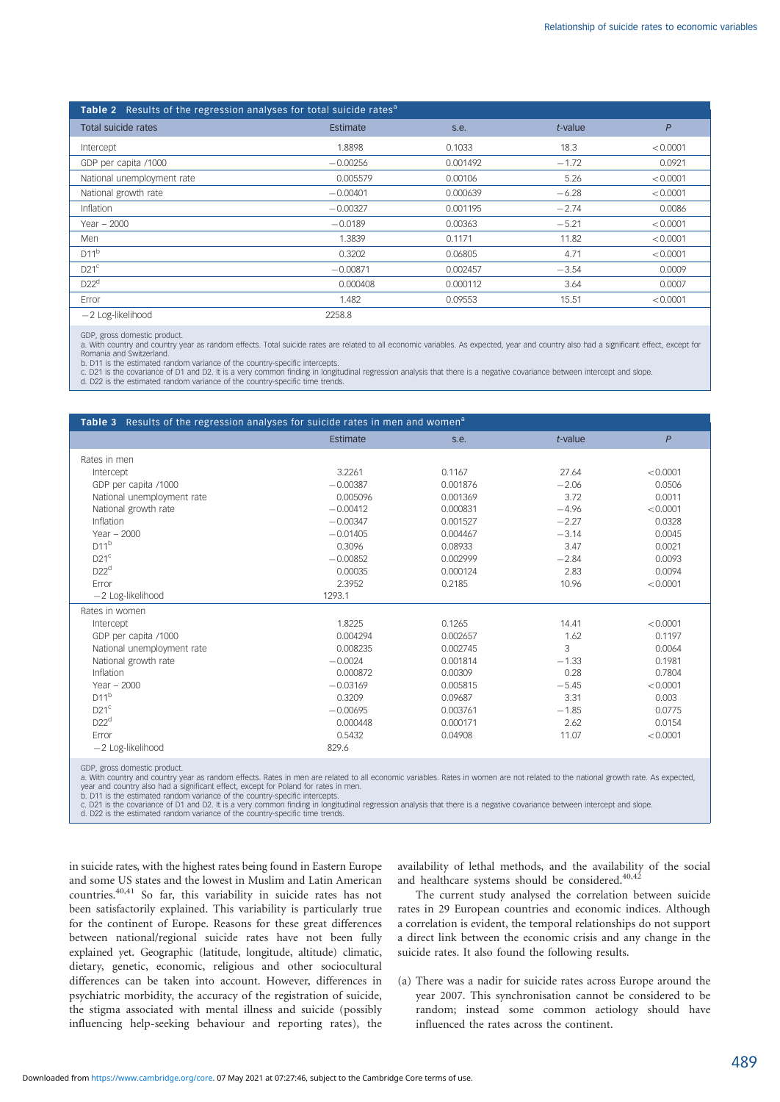| Table 2 Results of the regression analyses for total suicide rates <sup>a</sup> |            |          |            |              |
|---------------------------------------------------------------------------------|------------|----------|------------|--------------|
| Total suicide rates                                                             | Estimate   | s.e.     | $t$ -value | $\mathsf{P}$ |
| Intercept                                                                       | 1.8898     | 0.1033   | 18.3       | < 0.0001     |
| GDP per capita /1000                                                            | $-0.00256$ | 0.001492 | $-1.72$    | 0.0921       |
| National unemployment rate                                                      | 0.005579   | 0.00106  | 5.26       | < 0.0001     |
| National growth rate                                                            | $-0.00401$ | 0.000639 | $-6.28$    | < 0.0001     |
| Inflation                                                                       | $-0.00327$ | 0.001195 | $-2.74$    | 0.0086       |
| Year $-2000$                                                                    | $-0.0189$  | 0.00363  | $-5.21$    | < 0.0001     |
| Men                                                                             | 1.3839     | 0.1171   | 11.82      | < 0.0001     |
| D11 <sup>b</sup>                                                                | 0.3202     | 0.06805  | 4.71       | < 0.0001     |
| $D21^c$                                                                         | $-0.00871$ | 0.002457 | $-3.54$    | 0.0009       |
| D22 <sup>d</sup>                                                                | 0.000408   | 0.000112 | 3.64       | 0.0007       |
| Error                                                                           | 1.482      | 0.09553  | 15.51      | < 0.0001     |
| -2 Log-likelihood                                                               | 2258.8     |          |            |              |

GDP, gross domestic product.

a. With country and country year as random effects. Total suicide rates are related to all economic variables. As expected, year and country also had a significant effect, except for Romania and Switzerland.

b. D11 is the estimated random variance of the country-specific intercepts.<br>c. D21 is the covariance of D1 and D2. It is a very common finding in longitudinal regression analysis that there is a negative covariance between d. D22 is the estimated random variance of the country-specific time trends.

| <b>Table 3</b> Results of the regression analyses for suicide rates in men and women <sup>a</sup> |            |          |            |          |  |  |  |  |  |
|---------------------------------------------------------------------------------------------------|------------|----------|------------|----------|--|--|--|--|--|
|                                                                                                   | Estimate   | s.e.     | $t$ -value | P        |  |  |  |  |  |
| Rates in men                                                                                      |            |          |            |          |  |  |  |  |  |
| Intercept                                                                                         | 3.2261     | 0.1167   | 27.64      | < 0.0001 |  |  |  |  |  |
| GDP per capita /1000                                                                              | $-0.00387$ | 0.001876 | $-2.06$    | 0.0506   |  |  |  |  |  |
| National unemployment rate                                                                        | 0.005096   | 0.001369 | 3.72       | 0.0011   |  |  |  |  |  |
| National growth rate                                                                              | $-0.00412$ | 0.000831 | $-4.96$    | < 0.0001 |  |  |  |  |  |
| Inflation                                                                                         | $-0.00347$ | 0.001527 | $-2.27$    | 0.0328   |  |  |  |  |  |
| Year $-2000$                                                                                      | $-0.01405$ | 0.004467 | $-3.14$    | 0.0045   |  |  |  |  |  |
| D11 <sup>b</sup>                                                                                  | 0.3096     | 0.08933  | 3.47       | 0.0021   |  |  |  |  |  |
| D21 <sup>c</sup>                                                                                  | $-0.00852$ | 0.002999 | $-2.84$    | 0.0093   |  |  |  |  |  |
| D22 <sup>d</sup>                                                                                  | 0.00035    | 0.000124 | 2.83       | 0.0094   |  |  |  |  |  |
| Frror                                                                                             | 2.3952     | 0.2185   | 10.96      | < 0.0001 |  |  |  |  |  |
| -2 Log-likelihood                                                                                 | 1293.1     |          |            |          |  |  |  |  |  |
| Rates in women                                                                                    |            |          |            |          |  |  |  |  |  |
| Intercept                                                                                         | 1.8225     | 0.1265   | 14.41      | < 0.0001 |  |  |  |  |  |
| GDP per capita /1000                                                                              | 0.004294   | 0.002657 | 1.62       | 0.1197   |  |  |  |  |  |
| National unemployment rate                                                                        | 0.008235   | 0.002745 | 3          | 0.0064   |  |  |  |  |  |
| National growth rate                                                                              | $-0.0024$  | 0.001814 | $-1.33$    | 0.1981   |  |  |  |  |  |
| Inflation                                                                                         | 0.000872   | 0.00309  | 0.28       | 0.7804   |  |  |  |  |  |
| Year $-2000$                                                                                      | $-0.03169$ | 0.005815 | $-5.45$    | < 0.0001 |  |  |  |  |  |
| D11 <sup>b</sup>                                                                                  | 0.3209     | 0.09687  | 3.31       | 0.003    |  |  |  |  |  |
| $D21^{\circ}$                                                                                     | $-0.00695$ | 0.003761 | $-1.85$    | 0.0775   |  |  |  |  |  |
| D22 <sup>d</sup>                                                                                  | 0.000448   | 0.000171 | 2.62       | 0.0154   |  |  |  |  |  |
| Error                                                                                             | 0.5432     | 0.04908  | 11.07      | < 0.0001 |  |  |  |  |  |
| -2 Log-likelihood                                                                                 | 829.6      |          |            |          |  |  |  |  |  |
| CDD gross domestic product                                                                        |            |          |            |          |  |  |  |  |  |

GDP, gross domestic product.<br>a. With country and country year as random effects. Rates in men are related to all economic variables. Rates in women are not related to the national growth rate. As expected, year and country also had a significant effect, except for Poland for rates in men.

b. D11 is the estimated random variance of the country-specific intercepts.<br>c. D21 is the covariance of D1 and D2. It is a very common finding in longitudinal regression analysis that there is a negative covariance between

d. D22 is the estimated random variance of the country-specific time trends.

in suicide rates, with the highest rates being found in Eastern Europe and some US states and the lowest in Muslim and Latin American countries.40,41 So far, this variability in suicide rates has not been satisfactorily explained. This variability is particularly true for the continent of Europe. Reasons for these great differences between national/regional suicide rates have not been fully explained yet. Geographic (latitude, longitude, altitude) climatic, dietary, genetic, economic, religious and other sociocultural differences can be taken into account. However, differences in psychiatric morbidity, the accuracy of the registration of suicide, the stigma associated with mental illness and suicide (possibly influencing help-seeking behaviour and reporting rates), the

availability of lethal methods, and the availability of the social and healthcare systems should be considered.<sup>40,42</sup>

The current study analysed the correlation between suicide rates in 29 European countries and economic indices. Although a correlation is evident, the temporal relationships do not support a direct link between the economic crisis and any change in the suicide rates. It also found the following results.

(a) There was a nadir for suicide rates across Europe around the year 2007. This synchronisation cannot be considered to be random; instead some common aetiology should have influenced the rates across the continent.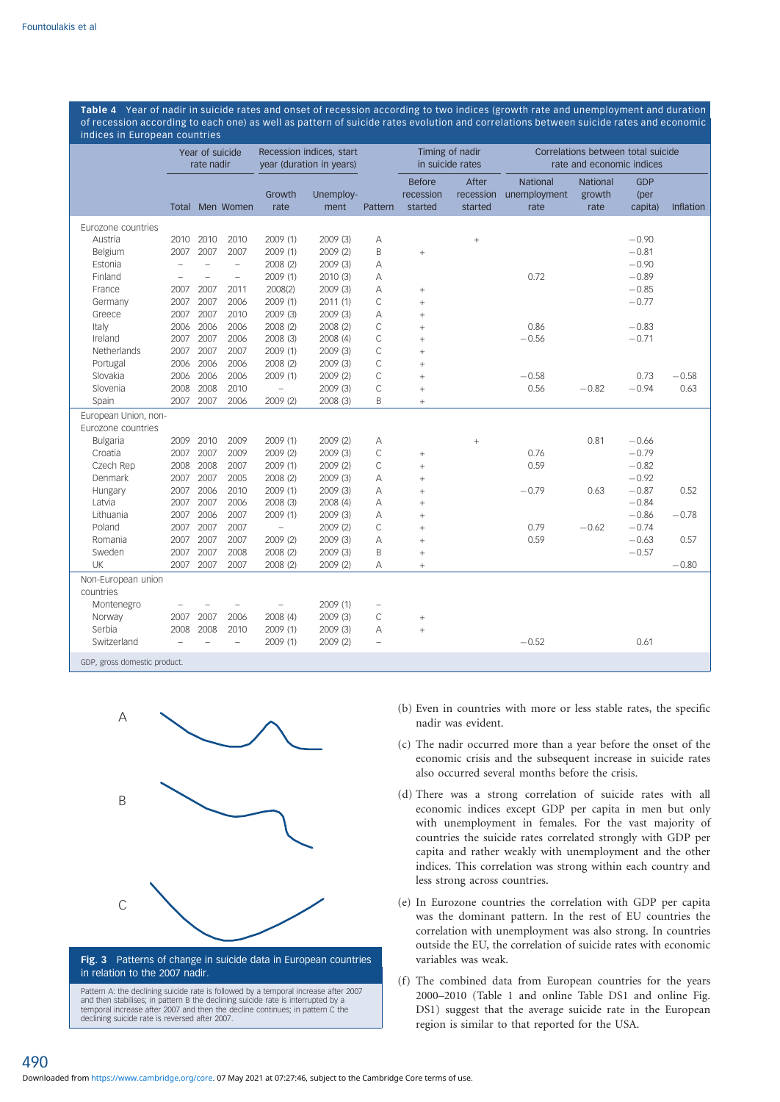Table 4 Year of nadir in suicide rates and onset of recession according to two indices (growth rate and unemployment and duration of recession according to each one) as well as pattern of suicide rates evolution and correlations between suicide rates and economic indices in European countries

| National<br><b>Before</b><br>After<br>National<br><b>GDP</b><br>recession<br>unemployment<br>Growth<br>Unemploy-<br>recession<br>growth<br>(per<br>rate<br>Inflation<br>Total Men Women<br>ment<br>Pattern<br>started<br>started<br>rate<br>rate<br>capita)<br>Eurozone countries<br>2010<br>Austria<br>2010<br>2010<br>2009 (1)<br>2009 (3)<br>$-0.90$<br>Α<br>$^+$<br>2007<br>Belgium<br>2007<br>B<br>$-0.81$<br>2007<br>2009 (1)<br>2009 (2)<br>$^{+}$<br>Estonia<br>2008 (2)<br>2009 (3)<br>$-0.90$<br>$\equiv$<br>А<br>$\overline{\phantom{0}}$<br>Finland<br>2009 (1)<br>2010 (3)<br>0.72<br>$-0.89$<br>А<br>$\equiv$<br>$\equiv$<br>2007<br>2011<br>2008(2)<br>$-0.85$<br>France<br>2007<br>2009 (3)<br>А<br>$^{+}$<br>2007<br>2006<br>2007<br>2009(1)<br>2011(1)<br>C<br>$-0.77$<br>Germany<br>$^{+}$<br>2007<br>2010<br>2007<br>2009(3)<br>2009 (3)<br>Greece<br>Α<br>$^{+}$<br>2006<br>0.86<br>2006<br>2006<br>2008 (2)<br>C<br>$-0.83$<br>Italy<br>2008 (2)<br>$^{+}$<br>2007<br>$\mathsf{C}$<br>$-0.56$<br>Ireland<br>2007<br>2006<br>$-0.71$<br>2008 (3)<br>2008 (4)<br>$^{+}$<br>$\mathsf{C}$<br>2007<br>2007<br>2007<br>2009 (1)<br>Netherlands<br>2009 (3)<br>$^{+}$<br>2006<br>2006<br>2006<br>$\mathsf{C}$<br>Portugal<br>2008 (2)<br>2009 (3)<br>$+$<br>2006<br>2006<br>$\mathsf{C}$<br>$-0.58$<br>$-0.58$<br>Slovakia<br>2006<br>2009 (1)<br>2009 (2)<br>0.73<br>$+$<br>2008<br>2008<br>2010<br>$\mathsf C$<br>0.56<br>$-0.94$<br>0.63<br>Slovenia<br>2009 (3)<br>$-0.82$<br>$\overline{\phantom{m}}$<br>$+$<br>2007<br>2009 (2)<br>Spain<br>2007<br>2006<br>2008 (3)<br>B<br>$+$<br>European Union, non-<br>Eurozone countries<br>2009<br>0.81<br><b>Bulgaria</b><br>2009<br>2010<br>2009 (1)<br>2009 (2)<br>$-0.66$<br>Α<br>$^+$<br>2007<br>$\mathsf{C}$<br>Croatia<br>2007<br>2009<br>2009 (2)<br>2009 (3)<br>0.76<br>$-0.79$<br>2008<br>$\mathsf C$<br>0.59<br>Czech Rep<br>2008<br>2007<br>2009(1)<br>2009 (2)<br>$-0.82$<br>$^{+}$<br>2007<br>Denmark<br>2007<br>2005<br>2008 (2)<br>2009 (3)<br>$-0.92$<br>А<br>$^{+}$<br>2006<br>2007<br>2010<br>2009(1)<br>2009 (3)<br>$-0.79$<br>0.63<br>$-0.87$<br>0.52<br>Hungary<br>Α<br>$^{+}$<br>2007<br>Latvia<br>2007<br>2006<br>2008 (3)<br>2008 (4)<br>$-0.84$<br>А<br>$^{+}$<br>2006<br>2007<br>2007<br>Lithuania<br>2009 (1)<br>2009 (3)<br>$-0.86$<br>$-0.78$<br>А<br>$^{+}$<br>2007<br>Poland<br>2007<br>2007<br>2009 (2)<br>$\mathsf C$<br>0.79<br>$-0.62$<br>$-0.74$<br>$\equiv$<br>$\ddot{}$<br>2007<br>2007<br>2007<br>2009 (2)<br>0.59<br>0.57<br>Romania<br>2009 (3)<br>$-0.63$<br>А<br>$+$<br>2007<br>2007<br>2008<br>Sweden<br>2008 (2)<br>2009 (3)<br>B<br>$-0.57$<br>$+$<br>2007<br>$-0.80$<br><b>UK</b><br>2007<br>2007<br>2008 (2)<br>2009 (2)<br>Α<br>$+$<br>Non-European union<br>countries<br>2009 (1)<br>Montenegro<br>$\equiv$<br>$\overline{\phantom{m}}$<br>$\qquad \qquad -$<br>2007<br>2007<br>2006<br>2008 (4)<br>2009 (3)<br>C<br>Norway<br>2008<br>Serbia<br>2008<br>2010<br>2009 (1)<br>2009 (3)<br>Α<br>$+$<br>Switzerland<br>$-0.52$<br>0.61<br>2009(1)<br>2009 (2)<br>L.<br>$\equiv$<br>$\equiv$ | Year of suicide<br>rate nadir |  | Recession indices, start<br>year (duration in years) |  |  | Timing of nadir<br>in suicide rates |  | Correlations between total suicide<br>rate and economic indices |  |  |  |
|---------------------------------------------------------------------------------------------------------------------------------------------------------------------------------------------------------------------------------------------------------------------------------------------------------------------------------------------------------------------------------------------------------------------------------------------------------------------------------------------------------------------------------------------------------------------------------------------------------------------------------------------------------------------------------------------------------------------------------------------------------------------------------------------------------------------------------------------------------------------------------------------------------------------------------------------------------------------------------------------------------------------------------------------------------------------------------------------------------------------------------------------------------------------------------------------------------------------------------------------------------------------------------------------------------------------------------------------------------------------------------------------------------------------------------------------------------------------------------------------------------------------------------------------------------------------------------------------------------------------------------------------------------------------------------------------------------------------------------------------------------------------------------------------------------------------------------------------------------------------------------------------------------------------------------------------------------------------------------------------------------------------------------------------------------------------------------------------------------------------------------------------------------------------------------------------------------------------------------------------------------------------------------------------------------------------------------------------------------------------------------------------------------------------------------------------------------------------------------------------------------------------------------------------------------------------------------------------------------------------------------------------------------------------------------------------------------------------------------------------------------------------------------------------------------------------------------------------------------------------------------------------------------------------------------------------------------------------------------------------------------------------------------------------------------------------------------------------------------|-------------------------------|--|------------------------------------------------------|--|--|-------------------------------------|--|-----------------------------------------------------------------|--|--|--|
|                                                                                                                                                                                                                                                                                                                                                                                                                                                                                                                                                                                                                                                                                                                                                                                                                                                                                                                                                                                                                                                                                                                                                                                                                                                                                                                                                                                                                                                                                                                                                                                                                                                                                                                                                                                                                                                                                                                                                                                                                                                                                                                                                                                                                                                                                                                                                                                                                                                                                                                                                                                                                                                                                                                                                                                                                                                                                                                                                                                                                                                                                                         |                               |  |                                                      |  |  |                                     |  |                                                                 |  |  |  |
|                                                                                                                                                                                                                                                                                                                                                                                                                                                                                                                                                                                                                                                                                                                                                                                                                                                                                                                                                                                                                                                                                                                                                                                                                                                                                                                                                                                                                                                                                                                                                                                                                                                                                                                                                                                                                                                                                                                                                                                                                                                                                                                                                                                                                                                                                                                                                                                                                                                                                                                                                                                                                                                                                                                                                                                                                                                                                                                                                                                                                                                                                                         |                               |  |                                                      |  |  |                                     |  |                                                                 |  |  |  |
|                                                                                                                                                                                                                                                                                                                                                                                                                                                                                                                                                                                                                                                                                                                                                                                                                                                                                                                                                                                                                                                                                                                                                                                                                                                                                                                                                                                                                                                                                                                                                                                                                                                                                                                                                                                                                                                                                                                                                                                                                                                                                                                                                                                                                                                                                                                                                                                                                                                                                                                                                                                                                                                                                                                                                                                                                                                                                                                                                                                                                                                                                                         |                               |  |                                                      |  |  |                                     |  |                                                                 |  |  |  |
|                                                                                                                                                                                                                                                                                                                                                                                                                                                                                                                                                                                                                                                                                                                                                                                                                                                                                                                                                                                                                                                                                                                                                                                                                                                                                                                                                                                                                                                                                                                                                                                                                                                                                                                                                                                                                                                                                                                                                                                                                                                                                                                                                                                                                                                                                                                                                                                                                                                                                                                                                                                                                                                                                                                                                                                                                                                                                                                                                                                                                                                                                                         |                               |  |                                                      |  |  |                                     |  |                                                                 |  |  |  |
|                                                                                                                                                                                                                                                                                                                                                                                                                                                                                                                                                                                                                                                                                                                                                                                                                                                                                                                                                                                                                                                                                                                                                                                                                                                                                                                                                                                                                                                                                                                                                                                                                                                                                                                                                                                                                                                                                                                                                                                                                                                                                                                                                                                                                                                                                                                                                                                                                                                                                                                                                                                                                                                                                                                                                                                                                                                                                                                                                                                                                                                                                                         |                               |  |                                                      |  |  |                                     |  |                                                                 |  |  |  |
|                                                                                                                                                                                                                                                                                                                                                                                                                                                                                                                                                                                                                                                                                                                                                                                                                                                                                                                                                                                                                                                                                                                                                                                                                                                                                                                                                                                                                                                                                                                                                                                                                                                                                                                                                                                                                                                                                                                                                                                                                                                                                                                                                                                                                                                                                                                                                                                                                                                                                                                                                                                                                                                                                                                                                                                                                                                                                                                                                                                                                                                                                                         |                               |  |                                                      |  |  |                                     |  |                                                                 |  |  |  |
|                                                                                                                                                                                                                                                                                                                                                                                                                                                                                                                                                                                                                                                                                                                                                                                                                                                                                                                                                                                                                                                                                                                                                                                                                                                                                                                                                                                                                                                                                                                                                                                                                                                                                                                                                                                                                                                                                                                                                                                                                                                                                                                                                                                                                                                                                                                                                                                                                                                                                                                                                                                                                                                                                                                                                                                                                                                                                                                                                                                                                                                                                                         |                               |  |                                                      |  |  |                                     |  |                                                                 |  |  |  |
|                                                                                                                                                                                                                                                                                                                                                                                                                                                                                                                                                                                                                                                                                                                                                                                                                                                                                                                                                                                                                                                                                                                                                                                                                                                                                                                                                                                                                                                                                                                                                                                                                                                                                                                                                                                                                                                                                                                                                                                                                                                                                                                                                                                                                                                                                                                                                                                                                                                                                                                                                                                                                                                                                                                                                                                                                                                                                                                                                                                                                                                                                                         |                               |  |                                                      |  |  |                                     |  |                                                                 |  |  |  |
|                                                                                                                                                                                                                                                                                                                                                                                                                                                                                                                                                                                                                                                                                                                                                                                                                                                                                                                                                                                                                                                                                                                                                                                                                                                                                                                                                                                                                                                                                                                                                                                                                                                                                                                                                                                                                                                                                                                                                                                                                                                                                                                                                                                                                                                                                                                                                                                                                                                                                                                                                                                                                                                                                                                                                                                                                                                                                                                                                                                                                                                                                                         |                               |  |                                                      |  |  |                                     |  |                                                                 |  |  |  |
|                                                                                                                                                                                                                                                                                                                                                                                                                                                                                                                                                                                                                                                                                                                                                                                                                                                                                                                                                                                                                                                                                                                                                                                                                                                                                                                                                                                                                                                                                                                                                                                                                                                                                                                                                                                                                                                                                                                                                                                                                                                                                                                                                                                                                                                                                                                                                                                                                                                                                                                                                                                                                                                                                                                                                                                                                                                                                                                                                                                                                                                                                                         |                               |  |                                                      |  |  |                                     |  |                                                                 |  |  |  |
|                                                                                                                                                                                                                                                                                                                                                                                                                                                                                                                                                                                                                                                                                                                                                                                                                                                                                                                                                                                                                                                                                                                                                                                                                                                                                                                                                                                                                                                                                                                                                                                                                                                                                                                                                                                                                                                                                                                                                                                                                                                                                                                                                                                                                                                                                                                                                                                                                                                                                                                                                                                                                                                                                                                                                                                                                                                                                                                                                                                                                                                                                                         |                               |  |                                                      |  |  |                                     |  |                                                                 |  |  |  |
|                                                                                                                                                                                                                                                                                                                                                                                                                                                                                                                                                                                                                                                                                                                                                                                                                                                                                                                                                                                                                                                                                                                                                                                                                                                                                                                                                                                                                                                                                                                                                                                                                                                                                                                                                                                                                                                                                                                                                                                                                                                                                                                                                                                                                                                                                                                                                                                                                                                                                                                                                                                                                                                                                                                                                                                                                                                                                                                                                                                                                                                                                                         |                               |  |                                                      |  |  |                                     |  |                                                                 |  |  |  |
|                                                                                                                                                                                                                                                                                                                                                                                                                                                                                                                                                                                                                                                                                                                                                                                                                                                                                                                                                                                                                                                                                                                                                                                                                                                                                                                                                                                                                                                                                                                                                                                                                                                                                                                                                                                                                                                                                                                                                                                                                                                                                                                                                                                                                                                                                                                                                                                                                                                                                                                                                                                                                                                                                                                                                                                                                                                                                                                                                                                                                                                                                                         |                               |  |                                                      |  |  |                                     |  |                                                                 |  |  |  |
|                                                                                                                                                                                                                                                                                                                                                                                                                                                                                                                                                                                                                                                                                                                                                                                                                                                                                                                                                                                                                                                                                                                                                                                                                                                                                                                                                                                                                                                                                                                                                                                                                                                                                                                                                                                                                                                                                                                                                                                                                                                                                                                                                                                                                                                                                                                                                                                                                                                                                                                                                                                                                                                                                                                                                                                                                                                                                                                                                                                                                                                                                                         |                               |  |                                                      |  |  |                                     |  |                                                                 |  |  |  |
|                                                                                                                                                                                                                                                                                                                                                                                                                                                                                                                                                                                                                                                                                                                                                                                                                                                                                                                                                                                                                                                                                                                                                                                                                                                                                                                                                                                                                                                                                                                                                                                                                                                                                                                                                                                                                                                                                                                                                                                                                                                                                                                                                                                                                                                                                                                                                                                                                                                                                                                                                                                                                                                                                                                                                                                                                                                                                                                                                                                                                                                                                                         |                               |  |                                                      |  |  |                                     |  |                                                                 |  |  |  |
|                                                                                                                                                                                                                                                                                                                                                                                                                                                                                                                                                                                                                                                                                                                                                                                                                                                                                                                                                                                                                                                                                                                                                                                                                                                                                                                                                                                                                                                                                                                                                                                                                                                                                                                                                                                                                                                                                                                                                                                                                                                                                                                                                                                                                                                                                                                                                                                                                                                                                                                                                                                                                                                                                                                                                                                                                                                                                                                                                                                                                                                                                                         |                               |  |                                                      |  |  |                                     |  |                                                                 |  |  |  |
|                                                                                                                                                                                                                                                                                                                                                                                                                                                                                                                                                                                                                                                                                                                                                                                                                                                                                                                                                                                                                                                                                                                                                                                                                                                                                                                                                                                                                                                                                                                                                                                                                                                                                                                                                                                                                                                                                                                                                                                                                                                                                                                                                                                                                                                                                                                                                                                                                                                                                                                                                                                                                                                                                                                                                                                                                                                                                                                                                                                                                                                                                                         |                               |  |                                                      |  |  |                                     |  |                                                                 |  |  |  |
|                                                                                                                                                                                                                                                                                                                                                                                                                                                                                                                                                                                                                                                                                                                                                                                                                                                                                                                                                                                                                                                                                                                                                                                                                                                                                                                                                                                                                                                                                                                                                                                                                                                                                                                                                                                                                                                                                                                                                                                                                                                                                                                                                                                                                                                                                                                                                                                                                                                                                                                                                                                                                                                                                                                                                                                                                                                                                                                                                                                                                                                                                                         |                               |  |                                                      |  |  |                                     |  |                                                                 |  |  |  |
|                                                                                                                                                                                                                                                                                                                                                                                                                                                                                                                                                                                                                                                                                                                                                                                                                                                                                                                                                                                                                                                                                                                                                                                                                                                                                                                                                                                                                                                                                                                                                                                                                                                                                                                                                                                                                                                                                                                                                                                                                                                                                                                                                                                                                                                                                                                                                                                                                                                                                                                                                                                                                                                                                                                                                                                                                                                                                                                                                                                                                                                                                                         |                               |  |                                                      |  |  |                                     |  |                                                                 |  |  |  |
|                                                                                                                                                                                                                                                                                                                                                                                                                                                                                                                                                                                                                                                                                                                                                                                                                                                                                                                                                                                                                                                                                                                                                                                                                                                                                                                                                                                                                                                                                                                                                                                                                                                                                                                                                                                                                                                                                                                                                                                                                                                                                                                                                                                                                                                                                                                                                                                                                                                                                                                                                                                                                                                                                                                                                                                                                                                                                                                                                                                                                                                                                                         |                               |  |                                                      |  |  |                                     |  |                                                                 |  |  |  |
|                                                                                                                                                                                                                                                                                                                                                                                                                                                                                                                                                                                                                                                                                                                                                                                                                                                                                                                                                                                                                                                                                                                                                                                                                                                                                                                                                                                                                                                                                                                                                                                                                                                                                                                                                                                                                                                                                                                                                                                                                                                                                                                                                                                                                                                                                                                                                                                                                                                                                                                                                                                                                                                                                                                                                                                                                                                                                                                                                                                                                                                                                                         |                               |  |                                                      |  |  |                                     |  |                                                                 |  |  |  |
|                                                                                                                                                                                                                                                                                                                                                                                                                                                                                                                                                                                                                                                                                                                                                                                                                                                                                                                                                                                                                                                                                                                                                                                                                                                                                                                                                                                                                                                                                                                                                                                                                                                                                                                                                                                                                                                                                                                                                                                                                                                                                                                                                                                                                                                                                                                                                                                                                                                                                                                                                                                                                                                                                                                                                                                                                                                                                                                                                                                                                                                                                                         |                               |  |                                                      |  |  |                                     |  |                                                                 |  |  |  |
|                                                                                                                                                                                                                                                                                                                                                                                                                                                                                                                                                                                                                                                                                                                                                                                                                                                                                                                                                                                                                                                                                                                                                                                                                                                                                                                                                                                                                                                                                                                                                                                                                                                                                                                                                                                                                                                                                                                                                                                                                                                                                                                                                                                                                                                                                                                                                                                                                                                                                                                                                                                                                                                                                                                                                                                                                                                                                                                                                                                                                                                                                                         |                               |  |                                                      |  |  |                                     |  |                                                                 |  |  |  |
|                                                                                                                                                                                                                                                                                                                                                                                                                                                                                                                                                                                                                                                                                                                                                                                                                                                                                                                                                                                                                                                                                                                                                                                                                                                                                                                                                                                                                                                                                                                                                                                                                                                                                                                                                                                                                                                                                                                                                                                                                                                                                                                                                                                                                                                                                                                                                                                                                                                                                                                                                                                                                                                                                                                                                                                                                                                                                                                                                                                                                                                                                                         |                               |  |                                                      |  |  |                                     |  |                                                                 |  |  |  |
|                                                                                                                                                                                                                                                                                                                                                                                                                                                                                                                                                                                                                                                                                                                                                                                                                                                                                                                                                                                                                                                                                                                                                                                                                                                                                                                                                                                                                                                                                                                                                                                                                                                                                                                                                                                                                                                                                                                                                                                                                                                                                                                                                                                                                                                                                                                                                                                                                                                                                                                                                                                                                                                                                                                                                                                                                                                                                                                                                                                                                                                                                                         |                               |  |                                                      |  |  |                                     |  |                                                                 |  |  |  |
|                                                                                                                                                                                                                                                                                                                                                                                                                                                                                                                                                                                                                                                                                                                                                                                                                                                                                                                                                                                                                                                                                                                                                                                                                                                                                                                                                                                                                                                                                                                                                                                                                                                                                                                                                                                                                                                                                                                                                                                                                                                                                                                                                                                                                                                                                                                                                                                                                                                                                                                                                                                                                                                                                                                                                                                                                                                                                                                                                                                                                                                                                                         |                               |  |                                                      |  |  |                                     |  |                                                                 |  |  |  |
|                                                                                                                                                                                                                                                                                                                                                                                                                                                                                                                                                                                                                                                                                                                                                                                                                                                                                                                                                                                                                                                                                                                                                                                                                                                                                                                                                                                                                                                                                                                                                                                                                                                                                                                                                                                                                                                                                                                                                                                                                                                                                                                                                                                                                                                                                                                                                                                                                                                                                                                                                                                                                                                                                                                                                                                                                                                                                                                                                                                                                                                                                                         |                               |  |                                                      |  |  |                                     |  |                                                                 |  |  |  |
|                                                                                                                                                                                                                                                                                                                                                                                                                                                                                                                                                                                                                                                                                                                                                                                                                                                                                                                                                                                                                                                                                                                                                                                                                                                                                                                                                                                                                                                                                                                                                                                                                                                                                                                                                                                                                                                                                                                                                                                                                                                                                                                                                                                                                                                                                                                                                                                                                                                                                                                                                                                                                                                                                                                                                                                                                                                                                                                                                                                                                                                                                                         |                               |  |                                                      |  |  |                                     |  |                                                                 |  |  |  |
|                                                                                                                                                                                                                                                                                                                                                                                                                                                                                                                                                                                                                                                                                                                                                                                                                                                                                                                                                                                                                                                                                                                                                                                                                                                                                                                                                                                                                                                                                                                                                                                                                                                                                                                                                                                                                                                                                                                                                                                                                                                                                                                                                                                                                                                                                                                                                                                                                                                                                                                                                                                                                                                                                                                                                                                                                                                                                                                                                                                                                                                                                                         |                               |  |                                                      |  |  |                                     |  |                                                                 |  |  |  |
|                                                                                                                                                                                                                                                                                                                                                                                                                                                                                                                                                                                                                                                                                                                                                                                                                                                                                                                                                                                                                                                                                                                                                                                                                                                                                                                                                                                                                                                                                                                                                                                                                                                                                                                                                                                                                                                                                                                                                                                                                                                                                                                                                                                                                                                                                                                                                                                                                                                                                                                                                                                                                                                                                                                                                                                                                                                                                                                                                                                                                                                                                                         |                               |  |                                                      |  |  |                                     |  |                                                                 |  |  |  |
|                                                                                                                                                                                                                                                                                                                                                                                                                                                                                                                                                                                                                                                                                                                                                                                                                                                                                                                                                                                                                                                                                                                                                                                                                                                                                                                                                                                                                                                                                                                                                                                                                                                                                                                                                                                                                                                                                                                                                                                                                                                                                                                                                                                                                                                                                                                                                                                                                                                                                                                                                                                                                                                                                                                                                                                                                                                                                                                                                                                                                                                                                                         |                               |  |                                                      |  |  |                                     |  |                                                                 |  |  |  |
|                                                                                                                                                                                                                                                                                                                                                                                                                                                                                                                                                                                                                                                                                                                                                                                                                                                                                                                                                                                                                                                                                                                                                                                                                                                                                                                                                                                                                                                                                                                                                                                                                                                                                                                                                                                                                                                                                                                                                                                                                                                                                                                                                                                                                                                                                                                                                                                                                                                                                                                                                                                                                                                                                                                                                                                                                                                                                                                                                                                                                                                                                                         |                               |  |                                                      |  |  |                                     |  |                                                                 |  |  |  |
|                                                                                                                                                                                                                                                                                                                                                                                                                                                                                                                                                                                                                                                                                                                                                                                                                                                                                                                                                                                                                                                                                                                                                                                                                                                                                                                                                                                                                                                                                                                                                                                                                                                                                                                                                                                                                                                                                                                                                                                                                                                                                                                                                                                                                                                                                                                                                                                                                                                                                                                                                                                                                                                                                                                                                                                                                                                                                                                                                                                                                                                                                                         |                               |  |                                                      |  |  |                                     |  |                                                                 |  |  |  |
| GDP, gross domestic product.                                                                                                                                                                                                                                                                                                                                                                                                                                                                                                                                                                                                                                                                                                                                                                                                                                                                                                                                                                                                                                                                                                                                                                                                                                                                                                                                                                                                                                                                                                                                                                                                                                                                                                                                                                                                                                                                                                                                                                                                                                                                                                                                                                                                                                                                                                                                                                                                                                                                                                                                                                                                                                                                                                                                                                                                                                                                                                                                                                                                                                                                            |                               |  |                                                      |  |  |                                     |  |                                                                 |  |  |  |



Pattern A: the declining suicide rate is followed by a temporal increase after 2007 and then stabilises; in pattern B the declining suicide rate is interrupted by a temporal increase after 2007 and then the decline continues; in pattern C the declining suicide rate is reversed after 2007.

490

- (b) Even in countries with more or less stable rates, the specific nadir was evident.
- (c) The nadir occurred more than a year before the onset of the economic crisis and the subsequent increase in suicide rates also occurred several months before the crisis.
- (d) There was a strong correlation of suicide rates with all economic indices except GDP per capita in men but only with unemployment in females. For the vast majority of countries the suicide rates correlated strongly with GDP per capita and rather weakly with unemployment and the other indices. This correlation was strong within each country and less strong across countries.
- (e) In Eurozone countries the correlation with GDP per capita was the dominant pattern. In the rest of EU countries the correlation with unemployment was also strong. In countries outside the EU, the correlation of suicide rates with economic variables was weak.
- (f) The combined data from European countries for the years 2000–2010 (Table 1 and online Table DS1 and online Fig. DS1) suggest that the average suicide rate in the European region is similar to that reported for the USA.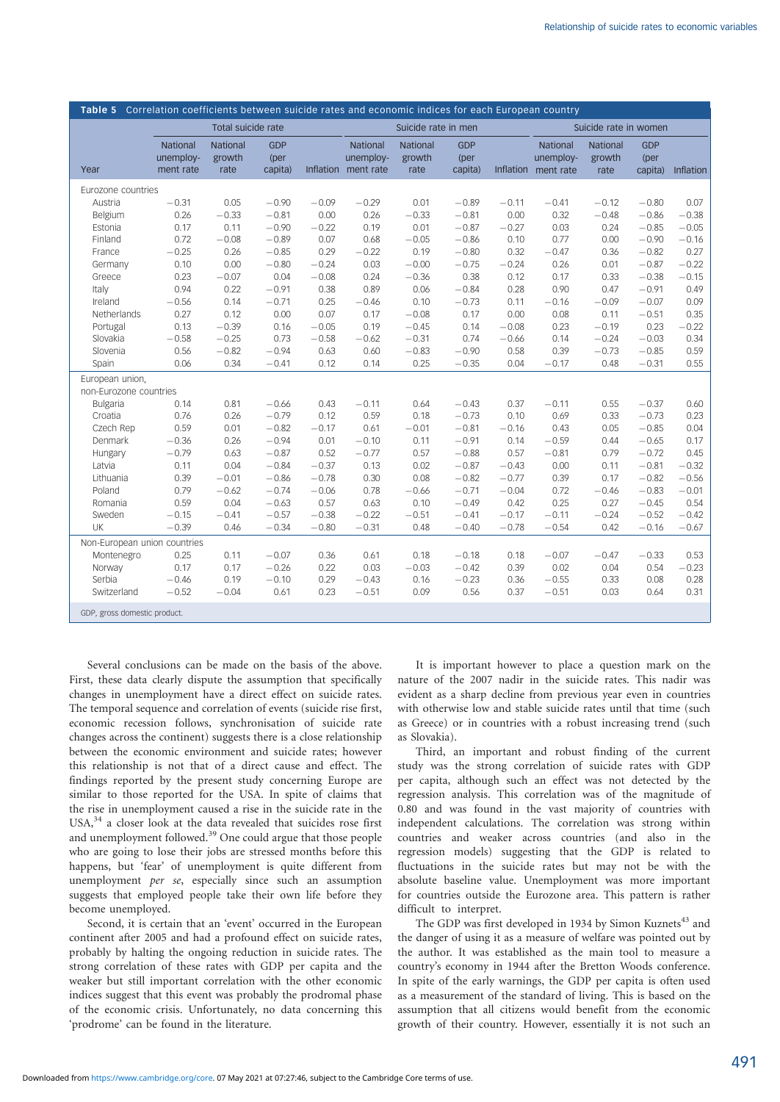| Table 5 Correlation coefficients between suicide rates and economic indices for each European country |                                    |                            |                               |         |                                              |                                   |                               |         |                                              |                                   |                               |           |
|-------------------------------------------------------------------------------------------------------|------------------------------------|----------------------------|-------------------------------|---------|----------------------------------------------|-----------------------------------|-------------------------------|---------|----------------------------------------------|-----------------------------------|-------------------------------|-----------|
|                                                                                                       | Total suicide rate                 |                            |                               |         | Suicide rate in men                          |                                   |                               |         | Suicide rate in women                        |                                   |                               |           |
| Year                                                                                                  | National<br>unemploy-<br>ment rate | National<br>growth<br>rate | <b>GDP</b><br>(per<br>capita) |         | National<br>unemploy-<br>Inflation ment rate | <b>National</b><br>growth<br>rate | <b>GDP</b><br>(per<br>capita) |         | National<br>unemploy-<br>Inflation ment rate | <b>National</b><br>growth<br>rate | <b>GDP</b><br>(per<br>capita) | Inflation |
| Eurozone countries                                                                                    |                                    |                            |                               |         |                                              |                                   |                               |         |                                              |                                   |                               |           |
| Austria                                                                                               | $-0.31$                            | 0.05                       | $-0.90$                       | $-0.09$ | $-0.29$                                      | 0.01                              | $-0.89$                       | $-0.11$ | $-0.41$                                      | $-0.12$                           | $-0.80$                       | 0.07      |
| Belgium                                                                                               | 0.26                               | $-0.33$                    | $-0.81$                       | 0.00    | 0.26                                         | $-0.33$                           | $-0.81$                       | 0.00    | 0.32                                         | $-0.48$                           | $-0.86$                       | $-0.38$   |
| Estonia                                                                                               | 0.17                               | 0.11                       | $-0.90$                       | $-0.22$ | 0.19                                         | 0.01                              | $-0.87$                       | $-0.27$ | 0.03                                         | 0.24                              | $-0.85$                       | $-0.05$   |
| Finland                                                                                               | 0.72                               | $-0.08$                    | $-0.89$                       | 0.07    | 0.68                                         | $-0.05$                           | $-0.86$                       | 0.10    | 0.77                                         | 0.00                              | $-0.90$                       | $-0.16$   |
| France                                                                                                | $-0.25$                            | 0.26                       | $-0.85$                       | 0.29    | $-0.22$                                      | 0.19                              | $-0.80$                       | 0.32    | $-0.47$                                      | 0.36                              | $-0.82$                       | 0.27      |
| Germany                                                                                               | 0.10                               | 0.00                       | $-0.80$                       | $-0.24$ | 0.03                                         | $-0.00$                           | $-0.75$                       | $-0.24$ | 0.26                                         | 0.01                              | $-0.87$                       | $-0.22$   |
| Greece                                                                                                | 0.23                               | $-0.07$                    | 0.04                          | $-0.08$ | 0.24                                         | $-0.36$                           | 0.38                          | 0.12    | 0.17                                         | 0.33                              | $-0.38$                       | $-0.15$   |
| Italy                                                                                                 | 0.94                               | 0.22                       | $-0.91$                       | 0.38    | 0.89                                         | 0.06                              | $-0.84$                       | 0.28    | 0.90                                         | 0.47                              | $-0.91$                       | 0.49      |
| Ireland                                                                                               | $-0.56$                            | 0.14                       | $-0.71$                       | 0.25    | $-0.46$                                      | 0.10                              | $-0.73$                       | 0.11    | $-0.16$                                      | $-0.09$                           | $-0.07$                       | 0.09      |
| Netherlands                                                                                           | 0.27                               | 0.12                       | 0.00                          | 0.07    | 0.17                                         | $-0.08$                           | 0.17                          | 0.00    | 0.08                                         | 0.11                              | $-0.51$                       | 0.35      |
| Portugal                                                                                              | 0.13                               | $-0.39$                    | 0.16                          | $-0.05$ | 0.19                                         | $-0.45$                           | 0.14                          | $-0.08$ | 0.23                                         | $-0.19$                           | 0.23                          | $-0.22$   |
| Slovakia                                                                                              | $-0.58$                            | $-0.25$                    | 0.73                          | $-0.58$ | $-0.62$                                      | $-0.31$                           | 0.74                          | $-0.66$ | 0.14                                         | $-0.24$                           | $-0.03$                       | 0.34      |
| Slovenia                                                                                              | 0.56                               | $-0.82$                    | $-0.94$                       | 0.63    | 0.60                                         | $-0.83$                           | $-0.90$                       | 0.58    | 0.39                                         | $-0.73$                           | $-0.85$                       | 0.59      |
| Spain                                                                                                 | 0.06                               | 0.34                       | $-0.41$                       | 0.12    | 0.14                                         | 0.25                              | $-0.35$                       | 0.04    | $-0.17$                                      | 0.48                              | $-0.31$                       | 0.55      |
| European union,                                                                                       |                                    |                            |                               |         |                                              |                                   |                               |         |                                              |                                   |                               |           |
| non-Eurozone countries                                                                                |                                    |                            |                               |         |                                              |                                   |                               |         |                                              |                                   |                               |           |
| <b>Bulgaria</b>                                                                                       | 0.14                               | 0.81                       | $-0.66$                       | 0.43    | $-0.11$                                      | 0.64                              | $-0.43$                       | 0.37    | $-0.11$                                      | 0.55                              | $-0.37$                       | 0.60      |
| Croatia                                                                                               | 0.76                               | 0.26                       | $-0.79$                       | 0.12    | 0.59                                         | 0.18                              | $-0.73$                       | 0.10    | 0.69                                         | 0.33                              | $-0.73$                       | 0.23      |
| Czech Rep                                                                                             | 0.59                               | 0.01                       | $-0.82$                       | $-0.17$ | 0.61                                         | $-0.01$                           | $-0.81$                       | $-0.16$ | 0.43                                         | 0.05                              | $-0.85$                       | 0.04      |
| Denmark                                                                                               | $-0.36$                            | 0.26                       | $-0.94$                       | 0.01    | $-0.10$                                      | 0.11                              | $-0.91$                       | 0.14    | $-0.59$                                      | 0.44                              | $-0.65$                       | 0.17      |
| Hungary                                                                                               | $-0.79$                            | 0.63                       | $-0.87$                       | 0.52    | $-0.77$                                      | 0.57                              | $-0.88$                       | 0.57    | $-0.81$                                      | 0.79                              | $-0.72$                       | 0.45      |
| Latvia                                                                                                | 0.11                               | 0.04                       | $-0.84$                       | $-0.37$ | 0.13                                         | 0.02                              | $-0.87$                       | $-0.43$ | 0.00                                         | 0.11                              | $-0.81$                       | $-0.32$   |
| Lithuania                                                                                             | 0.39                               | $-0.01$                    | $-0.86$                       | $-0.78$ | 0.30                                         | 0.08                              | $-0.82$                       | $-0.77$ | 0.39                                         | 0.17                              | $-0.82$                       | $-0.56$   |
| Poland                                                                                                | 0.79                               | $-0.62$                    | $-0.74$                       | $-0.06$ | 0.78                                         | $-0.66$                           | $-0.71$                       | $-0.04$ | 0.72                                         | $-0.46$                           | $-0.83$                       | $-0.01$   |
| Romania                                                                                               | 0.59                               | 0.04                       | $-0.63$                       | 0.57    | 0.63                                         | 0.10                              | $-0.49$                       | 0.42    | 0.25                                         | 0.27                              | $-0.45$                       | 0.54      |
| Sweden                                                                                                | $-0.15$                            | $-0.41$                    | $-0.57$                       | $-0.38$ | $-0.22$                                      | $-0.51$                           | $-0.41$                       | $-0.17$ | $-0.11$                                      | $-0.24$                           | $-0.52$                       | $-0.42$   |
| <b>UK</b>                                                                                             | $-0.39$                            | 0.46                       | $-0.34$                       | $-0.80$ | $-0.31$                                      | 0.48                              | $-0.40$                       | $-0.78$ | $-0.54$                                      | 0.42                              | $-0.16$                       | $-0.67$   |
| Non-European union countries                                                                          |                                    |                            |                               |         |                                              |                                   |                               |         |                                              |                                   |                               |           |
| Montenegro                                                                                            | 0.25                               | 0.11                       | $-0.07$                       | 0.36    | 0.61                                         | 0.18                              | $-0.18$                       | 0.18    | $-0.07$                                      | $-0.47$                           | $-0.33$                       | 0.53      |
| Norway                                                                                                | 0.17                               | 0.17                       | $-0.26$                       | 0.22    | 0.03                                         | $-0.03$                           | $-0.42$                       | 0.39    | 0.02                                         | 0.04                              | 0.54                          | $-0.23$   |
| Serbia                                                                                                | $-0.46$                            | 0.19                       | $-0.10$                       | 0.29    | $-0.43$                                      | 0.16                              | $-0.23$                       | 0.36    | $-0.55$                                      | 0.33                              | 0.08                          | 0.28      |
| Switzerland                                                                                           | $-0.52$                            | $-0.04$                    | 0.61                          | 0.23    | $-0.51$                                      | 0.09                              | 0.56                          | 0.37    | $-0.51$                                      | 0.03                              | 0.64                          | 0.31      |
| GDP, gross domestic product.                                                                          |                                    |                            |                               |         |                                              |                                   |                               |         |                                              |                                   |                               |           |

Several conclusions can be made on the basis of the above. First, these data clearly dispute the assumption that specifically changes in unemployment have a direct effect on suicide rates. The temporal sequence and correlation of events (suicide rise first, economic recession follows, synchronisation of suicide rate changes across the continent) suggests there is a close relationship between the economic environment and suicide rates; however this relationship is not that of a direct cause and effect. The findings reported by the present study concerning Europe are similar to those reported for the USA. In spite of claims that the rise in unemployment caused a rise in the suicide rate in the USA, $34$  a closer look at the data revealed that suicides rose first and unemployment followed.<sup>39</sup> One could argue that those people who are going to lose their jobs are stressed months before this happens, but 'fear' of unemployment is quite different from unemployment per se, especially since such an assumption suggests that employed people take their own life before they become unemployed.

Second, it is certain that an 'event' occurred in the European continent after 2005 and had a profound effect on suicide rates, probably by halting the ongoing reduction in suicide rates. The strong correlation of these rates with GDP per capita and the weaker but still important correlation with the other economic indices suggest that this event was probably the prodromal phase of the economic crisis. Unfortunately, no data concerning this 'prodrome' can be found in the literature.

It is important however to place a question mark on the nature of the 2007 nadir in the suicide rates. This nadir was evident as a sharp decline from previous year even in countries with otherwise low and stable suicide rates until that time (such as Greece) or in countries with a robust increasing trend (such as Slovakia).

Third, an important and robust finding of the current study was the strong correlation of suicide rates with GDP per capita, although such an effect was not detected by the regression analysis. This correlation was of the magnitude of 0.80 and was found in the vast majority of countries with independent calculations. The correlation was strong within countries and weaker across countries (and also in the regression models) suggesting that the GDP is related to fluctuations in the suicide rates but may not be with the absolute baseline value. Unemployment was more important for countries outside the Eurozone area. This pattern is rather difficult to interpret.

The GDP was first developed in 1934 by Simon Kuznets<sup>43</sup> and the danger of using it as a measure of welfare was pointed out by the author. It was established as the main tool to measure a country's economy in 1944 after the Bretton Woods conference. In spite of the early warnings, the GDP per capita is often used as a measurement of the standard of living. This is based on the assumption that all citizens would benefit from the economic growth of their country. However, essentially it is not such an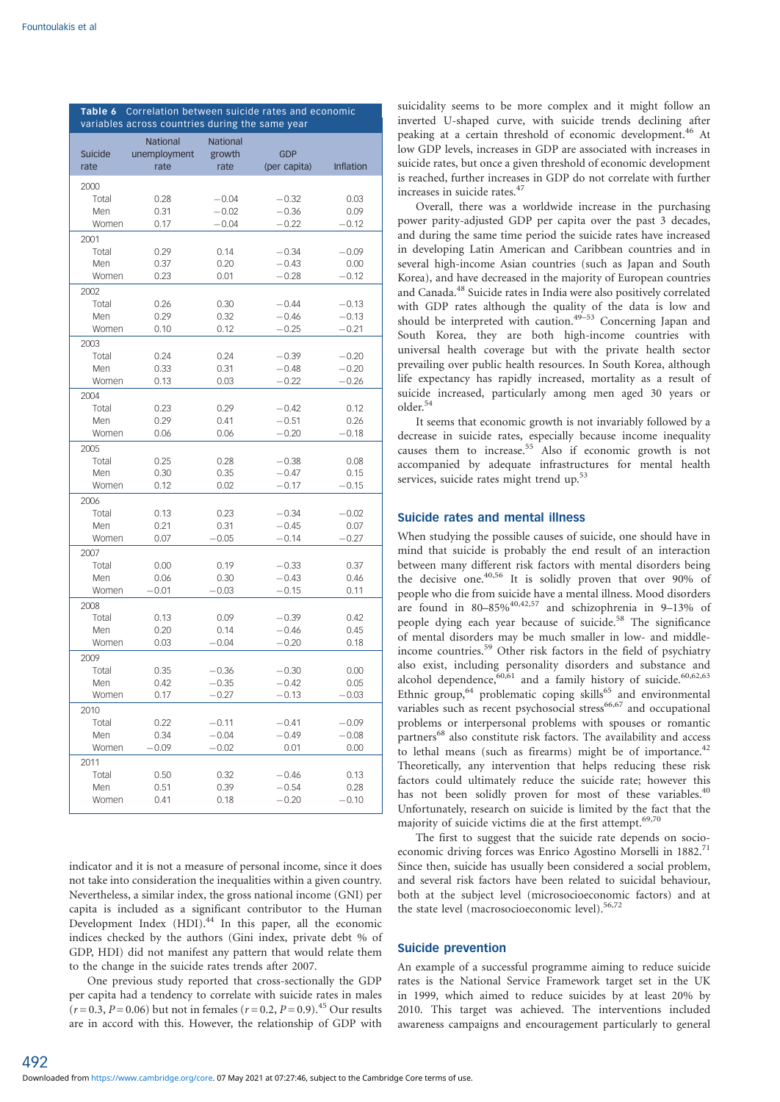| Correlation between suicide rates and economic<br>Table 6<br>variables across countries during the same year |                                  |                                   |                            |                  |  |  |  |  |  |  |
|--------------------------------------------------------------------------------------------------------------|----------------------------------|-----------------------------------|----------------------------|------------------|--|--|--|--|--|--|
| Suicide<br>rate                                                                                              | National<br>unemployment<br>rate | <b>National</b><br>growth<br>rate | <b>GDP</b><br>(per capita) | <b>Inflation</b> |  |  |  |  |  |  |
| 2000                                                                                                         |                                  |                                   |                            |                  |  |  |  |  |  |  |
| Total                                                                                                        | 0.28                             | $-0.04$                           | $-0.32$                    | 0.03             |  |  |  |  |  |  |
| Men                                                                                                          | 0.31                             | $-0.02$                           | $-0.36$                    | 0.09             |  |  |  |  |  |  |
| Women                                                                                                        | 0.17                             | $-0.04$                           | $-0.22$                    | $-0.12$          |  |  |  |  |  |  |
| 2001                                                                                                         |                                  |                                   |                            |                  |  |  |  |  |  |  |
| Total                                                                                                        | 0.29                             | 0.14                              | $-0.34$                    | $-0.09$          |  |  |  |  |  |  |
| Men                                                                                                          | 0.37                             | 0.20                              | $-0.43$                    | 0.00             |  |  |  |  |  |  |
| Women                                                                                                        | 0.23                             | 0.01                              | $-0.28$                    | $-0.12$          |  |  |  |  |  |  |
| 2002<br>Total                                                                                                | 0.26                             |                                   | $-0.44$                    | $-0.13$          |  |  |  |  |  |  |
| Men                                                                                                          | 0.29                             | 0.30<br>0.32                      | $-0.46$                    | $-0.13$          |  |  |  |  |  |  |
| Women                                                                                                        | 0.10                             | 0.12                              | $-0.25$                    | $-0.21$          |  |  |  |  |  |  |
| 2003                                                                                                         |                                  |                                   |                            |                  |  |  |  |  |  |  |
| Total                                                                                                        | 0.24                             | 0.24                              | $-0.39$                    | $-0.20$          |  |  |  |  |  |  |
| Men                                                                                                          | 0.33                             | 0.31                              | $-0.48$                    | $-0.20$          |  |  |  |  |  |  |
| Women                                                                                                        | 0.13                             | 0.03                              | $-0.22$                    | $-0.26$          |  |  |  |  |  |  |
| 2004                                                                                                         |                                  |                                   |                            |                  |  |  |  |  |  |  |
| Total                                                                                                        | 0.23                             | 0.29                              | $-0.42$                    | 0.12             |  |  |  |  |  |  |
| Men                                                                                                          | 0.29                             | 0.41                              | $-0.51$                    | 0.26             |  |  |  |  |  |  |
| Women                                                                                                        | 0.06                             | 0.06                              | $-0.20$                    | $-0.18$          |  |  |  |  |  |  |
| 2005                                                                                                         |                                  |                                   |                            |                  |  |  |  |  |  |  |
| Total                                                                                                        | 0.25                             | 0.28                              | $-0.38$                    | 0.08             |  |  |  |  |  |  |
| Men                                                                                                          | 0.30                             | 0.35                              | $-0.47$                    | 0.15             |  |  |  |  |  |  |
| Women                                                                                                        | 0.12                             | 0.02                              | $-0.17$                    | $-0.15$          |  |  |  |  |  |  |
| 2006<br>Total                                                                                                | 0.13                             | 0.23                              | $-0.34$                    | $-0.02$          |  |  |  |  |  |  |
| Men                                                                                                          | 0.21                             | 0.31                              | $-0.45$                    | 0.07             |  |  |  |  |  |  |
| Women                                                                                                        | 0.07                             | $-0.05$                           | $-0.14$                    | $-0.27$          |  |  |  |  |  |  |
| 2007                                                                                                         |                                  |                                   |                            |                  |  |  |  |  |  |  |
| Total                                                                                                        | 0.00                             | 0.19                              | $-0.33$                    | 0.37             |  |  |  |  |  |  |
| Men                                                                                                          | 0.06                             | 0.30                              | $-0.43$                    | 0.46             |  |  |  |  |  |  |
| Women                                                                                                        | 0.01                             | $-0.03$                           | $-0.15$                    | 0.11             |  |  |  |  |  |  |
| 2008                                                                                                         |                                  |                                   |                            |                  |  |  |  |  |  |  |
| Total                                                                                                        | 0.13                             | 0.09                              | $-0.39$                    | 0.42             |  |  |  |  |  |  |
| Men                                                                                                          | 0.20                             | 0.14                              | $-0.46$                    | 0.45             |  |  |  |  |  |  |
| Women                                                                                                        | 0.03                             | $-0.04$                           | $-0.20$                    | 0.18             |  |  |  |  |  |  |
| 2009                                                                                                         |                                  |                                   |                            |                  |  |  |  |  |  |  |
| Total                                                                                                        | 0.35                             | $-0.36$                           | $-0.30$                    | 0.00             |  |  |  |  |  |  |
| Men                                                                                                          | 0.42<br>0.17                     | $-0.35$                           | $-0.42$                    | 0.05             |  |  |  |  |  |  |
| Women                                                                                                        |                                  | $-0.27$                           | $-0.13$                    | $-0.03$          |  |  |  |  |  |  |
| 2010<br>Total                                                                                                | 0.22                             | $-0.11$                           | $-0.41$                    | $-0.09$          |  |  |  |  |  |  |
| Men                                                                                                          | 0.34                             | $-0.04$                           | $-0.49$                    | $-0.08$          |  |  |  |  |  |  |
| Women                                                                                                        | 0.09                             | $-0.02$                           | 0.01                       | 0.00             |  |  |  |  |  |  |
| 2011                                                                                                         |                                  |                                   |                            |                  |  |  |  |  |  |  |
| Total                                                                                                        | 0.50                             | 0.32                              | $-0.46$                    | 0.13             |  |  |  |  |  |  |
| Men                                                                                                          | 0.51                             | 0.39                              | $-0.54$                    | 0.28             |  |  |  |  |  |  |
| Women                                                                                                        | 0.41                             | 0.18                              | $-0.20$                    | $-0.10$          |  |  |  |  |  |  |
|                                                                                                              |                                  |                                   |                            |                  |  |  |  |  |  |  |

indicator and it is not a measure of personal income, since it does not take into consideration the inequalities within a given country. Nevertheless, a similar index, the gross national income (GNI) per capita is included as a significant contributor to the Human Development Index  $(HDI)$ .<sup>44</sup> In this paper, all the economic indices checked by the authors (Gini index, private debt % of GDP, HDI) did not manifest any pattern that would relate them to the change in the suicide rates trends after 2007.

One previous study reported that cross-sectionally the GDP per capita had a tendency to correlate with suicide rates in males  $(r=0.3, P=0.06)$  but not in females  $(r=0.2, P=0.9)$ .<sup>45</sup> Our results are in accord with this. However, the relationship of GDP with

492

suicidality seems to be more complex and it might follow an inverted U-shaped curve, with suicide trends declining after peaking at a certain threshold of economic development.<sup>46</sup> At low GDP levels, increases in GDP are associated with increases in suicide rates, but once a given threshold of economic development is reached, further increases in GDP do not correlate with further increases in suicide rates.<sup>47</sup>

Overall, there was a worldwide increase in the purchasing power parity-adjusted GDP per capita over the past 3 decades, and during the same time period the suicide rates have increased in developing Latin American and Caribbean countries and in several high-income Asian countries (such as Japan and South Korea), and have decreased in the majority of European countries and Canada.<sup>48</sup> Suicide rates in India were also positively correlated with GDP rates although the quality of the data is low and should be interpreted with caution. $49-53$  Concerning Japan and South Korea, they are both high-income countries with universal health coverage but with the private health sector prevailing over public health resources. In South Korea, although life expectancy has rapidly increased, mortality as a result of suicide increased, particularly among men aged 30 years or older.<sup>54</sup>

It seems that economic growth is not invariably followed by a decrease in suicide rates, especially because income inequality causes them to increase.<sup>55</sup> Also if economic growth is not accompanied by adequate infrastructures for mental health services, suicide rates might trend up.<sup>53</sup>

## Suicide rates and mental illness

When studying the possible causes of suicide, one should have in mind that suicide is probably the end result of an interaction between many different risk factors with mental disorders being the decisive one.<sup>40,56</sup> It is solidly proven that over 90% of people who die from suicide have a mental illness. Mood disorders are found in  $80-85\%$ <sup>40,42,57</sup> and schizophrenia in 9–13% of people dying each year because of suicide.<sup>58</sup> The significance of mental disorders may be much smaller in low- and middleincome countries.59 Other risk factors in the field of psychiatry also exist, including personality disorders and substance and alcohol dependence,  $60,61$  and a family history of suicide.  $60,62,63$ Ethnic group,<sup>64</sup> problematic coping skills<sup>65</sup> and environmental variables such as recent psychosocial stress<sup>66,67</sup> and occupational problems or interpersonal problems with spouses or romantic partners<sup>68</sup> also constitute risk factors. The availability and access to lethal means (such as firearms) might be of importance.<sup>42</sup> Theoretically, any intervention that helps reducing these risk factors could ultimately reduce the suicide rate; however this has not been solidly proven for most of these variables.<sup>40</sup> Unfortunately, research on suicide is limited by the fact that the majority of suicide victims die at the first attempt.<sup>69,70</sup>

The first to suggest that the suicide rate depends on socioeconomic driving forces was Enrico Agostino Morselli in 1882.<sup>71</sup> Since then, suicide has usually been considered a social problem, and several risk factors have been related to suicidal behaviour, both at the subject level (microsocioeconomic factors) and at the state level (macrosocioeconomic level).<sup>56,72</sup>

## Suicide prevention

An example of a successful programme aiming to reduce suicide rates is the National Service Framework target set in the UK in 1999, which aimed to reduce suicides by at least 20% by 2010. This target was achieved. The interventions included awareness campaigns and encouragement particularly to general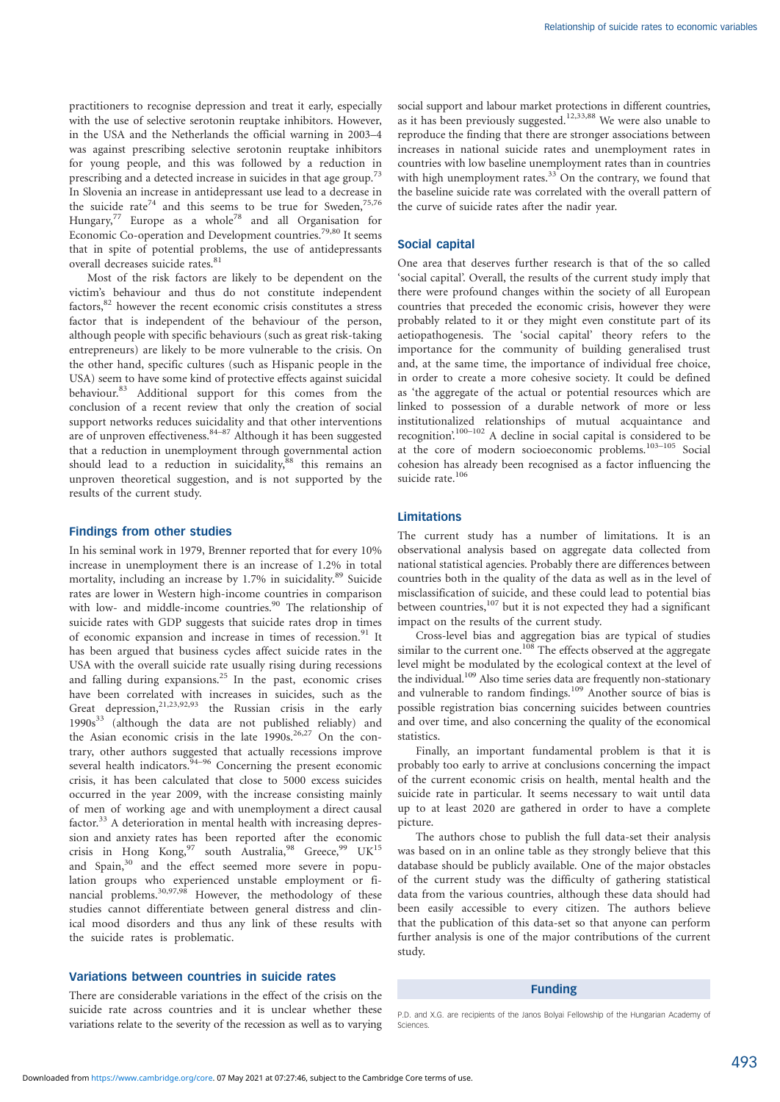practitioners to recognise depression and treat it early, especially with the use of selective serotonin reuptake inhibitors. However, in the USA and the Netherlands the official warning in 2003–4 was against prescribing selective serotonin reuptake inhibitors for young people, and this was followed by a reduction in prescribing and a detected increase in suicides in that age group.<sup>73</sup> In Slovenia an increase in antidepressant use lead to a decrease in the suicide rate<sup>74</sup> and this seems to be true for Sweden,<sup>75,76</sup> Hungary,<sup>77</sup> Europe as a whole<sup>78</sup> and all Organisation for Economic Co-operation and Development countries.79,80 It seems that in spite of potential problems, the use of antidepressants overall decreases suicide rates.<sup>81</sup>

Most of the risk factors are likely to be dependent on the victim's behaviour and thus do not constitute independent factors,<sup>82</sup> however the recent economic crisis constitutes a stress factor that is independent of the behaviour of the person, although people with specific behaviours (such as great risk-taking entrepreneurs) are likely to be more vulnerable to the crisis. On the other hand, specific cultures (such as Hispanic people in the USA) seem to have some kind of protective effects against suicidal behaviour.<sup>83</sup> Additional support for this comes from the conclusion of a recent review that only the creation of social support networks reduces suicidality and that other interventions are of unproven effectiveness.84–87 Although it has been suggested that a reduction in unemployment through governmental action should lead to a reduction in suicidality,<sup>88</sup> this remains an unproven theoretical suggestion, and is not supported by the results of the current study.

## Findings from other studies

In his seminal work in 1979, Brenner reported that for every 10% increase in unemployment there is an increase of 1.2% in total mortality, including an increase by 1.7% in suicidality.<sup>89</sup> Suicide rates are lower in Western high-income countries in comparison with low- and middle-income countries.<sup>90</sup> The relationship of suicide rates with GDP suggests that suicide rates drop in times of economic expansion and increase in times of recession.<sup>91</sup> It has been argued that business cycles affect suicide rates in the USA with the overall suicide rate usually rising during recessions and falling during expansions. $25$  In the past, economic crises have been correlated with increases in suicides, such as the Great depression,  $2^{1,23,92,93}$  the Russian crisis in the early  $1990s<sup>33</sup>$  (although the data are not published reliably) and the Asian economic crisis in the late  $1990s$ .<sup>26,27</sup> On the contrary, other authors suggested that actually recessions improve several health indicators. $94-96$  Concerning the present economic crisis, it has been calculated that close to 5000 excess suicides occurred in the year 2009, with the increase consisting mainly of men of working age and with unemployment a direct causal factor.<sup>33</sup> A deterioration in mental health with increasing depression and anxiety rates has been reported after the economic crisis in Hong Kong, <sup>97</sup> south Australia, <sup>98</sup> Greece, <sup>99</sup> UK<sup>15</sup> and Spain,<sup>30</sup> and the effect seemed more severe in population groups who experienced unstable employment or financial problems.<sup>30,97,98</sup> However, the methodology of these studies cannot differentiate between general distress and clinical mood disorders and thus any link of these results with the suicide rates is problematic.

## Variations between countries in suicide rates

There are considerable variations in the effect of the crisis on the suicide rate across countries and it is unclear whether these variations relate to the severity of the recession as well as to varying social support and labour market protections in different countries, as it has been previously suggested.12,33,88 We were also unable to reproduce the finding that there are stronger associations between increases in national suicide rates and unemployment rates in countries with low baseline unemployment rates than in countries with high unemployment rates. $33$  On the contrary, we found that the baseline suicide rate was correlated with the overall pattern of the curve of suicide rates after the nadir year.

## Social capital

One area that deserves further research is that of the so called 'social capital'. Overall, the results of the current study imply that there were profound changes within the society of all European countries that preceded the economic crisis, however they were probably related to it or they might even constitute part of its aetiopathogenesis. The 'social capital' theory refers to the importance for the community of building generalised trust and, at the same time, the importance of individual free choice, in order to create a more cohesive society. It could be defined as 'the aggregate of the actual or potential resources which are linked to possession of a durable network of more or less institutionalized relationships of mutual acquaintance and recognition'.100–102 A decline in social capital is considered to be at the core of modern socioeconomic problems.103–105 Social cohesion has already been recognised as a factor influencing the suicide rate.<sup>106</sup>

## Limitations

The current study has a number of limitations. It is an observational analysis based on aggregate data collected from national statistical agencies. Probably there are differences between countries both in the quality of the data as well as in the level of misclassification of suicide, and these could lead to potential bias between countries,<sup>107</sup> but it is not expected they had a significant impact on the results of the current study.

Cross-level bias and aggregation bias are typical of studies similar to the current one.<sup>108</sup> The effects observed at the aggregate level might be modulated by the ecological context at the level of the individual.<sup>109</sup> Also time series data are frequently non-stationary and vulnerable to random findings.<sup>109</sup> Another source of bias is possible registration bias concerning suicides between countries and over time, and also concerning the quality of the economical statistics.

Finally, an important fundamental problem is that it is probably too early to arrive at conclusions concerning the impact of the current economic crisis on health, mental health and the suicide rate in particular. It seems necessary to wait until data up to at least 2020 are gathered in order to have a complete picture.

The authors chose to publish the full data-set their analysis was based on in an online table as they strongly believe that this database should be publicly available. One of the major obstacles of the current study was the difficulty of gathering statistical data from the various countries, although these data should had been easily accessible to every citizen. The authors believe that the publication of this data-set so that anyone can perform further analysis is one of the major contributions of the current study.

#### Funding

P.D. and X.G. are recipients of the Janos Bolyai Fellowship of the Hungarian Academy of Sciences.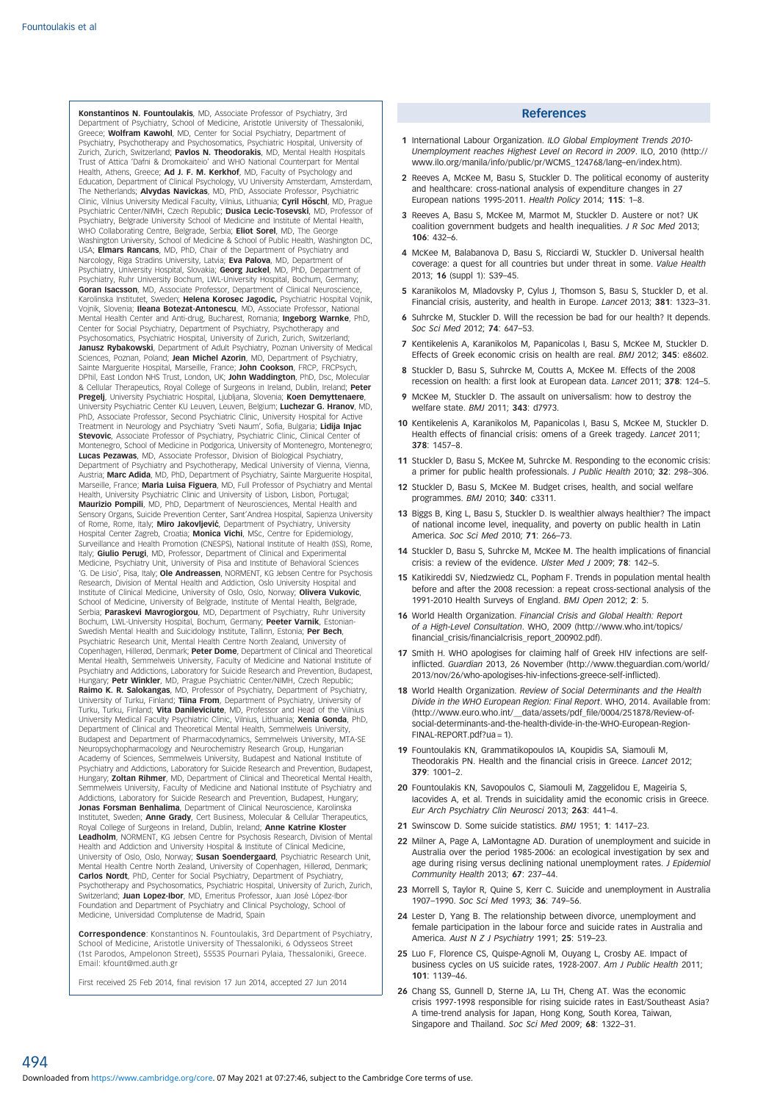Konstantinos N. Fountoulakis, MD, Associate Professor of Psychiatry, 3rd Department of Psychiatry, School of Medicine, Aristotle University of Thessaloniki,<br>Greece; **Wolfram Kawohl**, MD, Center for Social Psychiatry, Department of Psychiatry, Psychotherapy and Psychosomatics, Psychiatric Hospital, University of<br>Zurich, Zurich, Switzerland; **Pavlos N. Theodorakis**, MD, Mental Health Hospitals Trust of Attica 'Dafni & Dromokaiteio' and WHO National Counterpart for Mental Health, Athens, Greece; Ad J. F. M. Kerkhof, MD, Faculty of Psychology and Education, Department of Clinical Psychology, VU University Amsterdam, Amsterdam,<br>The Netherlands; **Alvydas Navickas**, MD, PhD, Associate Professor, Psychiatric Clinic, Vilnius University Medical Faculty, Vilnius, Lithuania; **Cyril Höschl**, MD, Prague<br>Psychiatric Center/NIMH, Czech Republic; **Dusica Lecic-Tosevski**, MD, Professor of Psychiatry, Belgrade University School of Medicine and Institute of Mental Health, WHO Collaborating Centre, Belgrade, Serbia; Eliot Sorel, MD, The George Washington University, School of Medicine & School of Public Health, Washington DC USA; **Elmars Rancans**, MD, PhD, Chair of the Department of Psychiatry and Narcology, Riga Stradins University, Latvia; Eva Palova, MD, Department of Psychiatry, University Hospital, Slovakia; Georg Juckel, MD, PhD, Department of Psychiatry, Ruhr University Bochum, LWL-University Hospital, Bochum, Germany; Goran Isacsson, MD, Associate Professor, Department of Clinical Neuroscience Karolinska Institutet, Sweden; **Helena Korosec Jagodic,** Psychiatric Hospital Vojnik,<br>Vojnik, Slovenia; **Ileana Botezat-Antonescu**, MD, Associate Professor, National Mental Health Center and Anti-drug, Bucharest, Romania; Ingeborg Warnke, PhD, Center for Social Psychiatry, Department of Psychiatry, Psychotherapy and Psychosomatics, Psychiatric Hospital, University of Zurich, Zurich, Switzerland; Janusz Rybakowski, Department of Adult Psychiatry, Poznan University of Medical Sciences, Poznan, Poland; **Jean Michel Azorin**, MD, Department of Psychiatry,<br>Sainte Marguerite Hospital, Marseille, France; **John Cookson**, FRCP, FRCPsych, DPhil, East London NHS Trust, London, UK; John Waddington, PhD, Dsc, Molecular & Cellular Therapeutics, Royal College of Surgeons in Ireland, Dublin, Ireland; **Peter**<br>**Pregelj**, University Psychiatric Hospital, Ljubljana, Slovenia; **Koen Demyttenaere**, University Psychiatric Center KU Leuven, Leuven, Belgium; Luchezar G. Hranov, MD, PhD, Associate Professor, Second Psychiatric Clinic, University Hospital for Active<br>Treatment in Neurology and Psychiatry 'Sveti Naum', Sofia, Bulgaria; **Lidija Injac Stevovic**, Associate Professor of Psychiatry, Psychiatric Clinic, Clinical Center of<br>Montenegro, School of Medicine in Podgorica, University of Montenegro, Montenegro; Lucas Pezawas, MD, Associate Professor, Division of Biological Psychiatry, Department of Psychiatry and Psychotherapy, Medical University of Vienna, Vienna,<br>Austria; **Marc Adida, MD, PhD, Department of Psychiatry, Sainte Marguerite Hospital,<br>Marseille, France; <b>Maria Luisa Figuera,** MD, Full Prof Health, University Psychiatric Clinic and University of Lisbon, Lisbon, Portugal;<br>**Maurizio Pompili**, MD, PhD, Department of Neurosciences, Mental Health and Sensory Organs, Suicide Prevention Center, Sant'Andrea Hospital, Sapienza University of Rome, Rome, Italy; **Miro Jakovljević**, Department of Psychiatry, University<br>Hospital Center Zagreb, Croatia; **Monica Vichi**, MSc, Centre for Epidemiology, Surveillance and Health Promotion (CNESPS), National Institute of Health (ISS), Rome, Italy; **Giulio Perugi**, MD, Professor, Department of Clinical and Experimental<br>Medicine, Psychiatry Unit, University of Pisa and Institute of Behavioral Sciences 'G. De Lisio', Pisa, Italy; Ole Andreassen, NORMENT, KG Jebsen Centre for Psychosis Research, Division of Mental Health and Addiction, Oslo University Hospital and<br>Institute of Clinical Medicine, University of Oslo, Oslo, Norway; **Olivera Vukovic**, School of Medicine, University of Belgrade, Institute of Mental Health, Belgrade, Serbia; Paraskevi Mavrogiorgou, MD, Department of Psychiatry, Ruhr University Bochum, LWL-University Hospital, Bochum, Germany; Peeter Varnik, Estonian-Swedish Mental Health and Suicidology Institute, Tallinn, Estonia; Per Bech, Psychiatric Research Unit, Mental Health Centre North Zealand, University of Copenhagen, Hillerød, Denmark; Peter Dome, Department of Clinical and Theoretica Mental Health, Semmelweis University, Faculty of Medicine and National Institute of Psychiatry and Addictions, Laboratory for Suicide Research and Prevention, Budapest, Hungary; Petr Winkler, MD, Prague Psychiatric Center/NIMH, Czech Republic;<br>Raimo K. R. Salokangas, MD, Professor of Psychiatry, Department of Psychiatry, University of Turku, Finland; **Tiina From**, Department of Psychiatry, University of<br>Turku, Turku, Finland; **Vita Danileviciute**, MD, Professor and Head of the Vilnius University Medical Faculty Psychiatric Clinic, Vilnius, Lithuania; Xenia Gonda, PhD, Department of Clinical and Theoretical Mental Health, Semmelweis University, Budapest and Department of Pharmacodynamics, Semmelweis University, MTA-SE Neuropsychopharmacology and Neurochemistry Research Group, Hungarian Academy of Sciences, Semmelweis University, Budapest and National Institute of Psychiatry and Addictions, Laboratory for Suicide Research and Prevention, Budapest, Hungary; Zoltan Rihmer, MD, Department of Clinical and Theoretical Mental Health, Semmelweis University, Faculty of Medicine and National Institute of Psychiatry and Addictions, Laboratory for Suicide Research and Prevention, Budapest, Hungary; Jonas Forsman Benhalima, Department of Clinical Neuroscience, Karolinska Institutet, Sweden; **Anne Grady**, Cert Business, Molecular & Cellular Therapeutics,<br>Royal College of Surgeons in Ireland, Dublin, Ireland; **Anne Katrine Kloster** Leadholm, NORMENT, KG Jebsen Centre for Psychosis Research, Division of Mental Health and Addiction and University Hospital & Institute of Clinical Medicine, University of Oslo, Oslo, Norway; Susan Soendergaard, Psychiatric Research Unit, Mental Health Centre North Zealand, University of Copenhagen, Hillerød, Denmark; **Carlos Nordt**, PhD, Center for Social Psychiatry, Department of Psychiatry,<br>Psychotherapy and Psychosomatics, Psychiatric Hospital, University of Zurich, Zurich, Switzerland; Juan Lopez-Ibor, MD, Emeritus Professor, Juan José López-Ibor Foundation and Department of Psychiatry and Clinical Psychology, School of Medicine, Universidad Complutense de Madrid, Spain

Correspondence: Konstantinos N. Fountoulakis, 3rd Department of Psychiatry, School of Medicine, Aristotle University of Thessaloniki, 6 Odysseos Street (1st Parodos, Ampelonon Street), 55535 Pournari Pylaia, Thessaloniki, Greece. Email: kfount@med.auth.gr

First received 25 Feb 2014, final revision 17 Jun 2014, accepted 27 Jun 2014

494

#### References

- 1 International Labour Organization. ILO Global Employment Trends 2010-Unemployment reaches Highest Level on Record in 2009. ILO, 2010 (http:// www.ilo.org/manila/info/public/pr/WCMS\_124768/lang–en/index.htm).
- 2 Reeves A, McKee M, Basu S, Stuckler D. The political economy of austerity and healthcare: cross-national analysis of expenditure changes in 27 European nations 1995-2011. Health Policy 2014; 115: 1–8.
- 3 Reeves A, Basu S, McKee M, Marmot M, Stuckler D. Austere or not? UK coalition government budgets and health inequalities. J R Soc Med 2013; 106: 432–6.
- 4 McKee M, Balabanova D, Basu S, Ricciardi W, Stuckler D. Universal health coverage: a quest for all countries but under threat in some. Value Health 2013; 16 (suppl 1): S39–45.
- 5 Karanikolos M, Mladovsky P, Cylus J, Thomson S, Basu S, Stuckler D, et al. Financial crisis, austerity, and health in Europe. Lancet 2013; 381: 1323–31.
- 6 Suhrcke M, Stuckler D. Will the recession be bad for our health? It depends. Soc Sci Med 2012; 74: 647–53.
- 7 Kentikelenis A, Karanikolos M, Papanicolas I, Basu S, McKee M, Stuckler D. Effects of Greek economic crisis on health are real. BMJ 2012; 345: e8602.
- 8 Stuckler D, Basu S, Suhrcke M, Coutts A, McKee M. Effects of the 2008 recession on health: a first look at European data. Lancet 2011; 378: 124–5.
- 9 McKee M, Stuckler D. The assault on universalism: how to destroy the welfare state. BMJ 2011; 343: d7973.
- 10 Kentikelenis A, Karanikolos M, Papanicolas I, Basu S, McKee M, Stuckler D. Health effects of financial crisis: omens of a Greek tragedy. Lancet 2011; 378: 1457–8.
- 11 Stuckler D, Basu S, McKee M, Suhrcke M. Responding to the economic crisis: a primer for public health professionals. J Public Health 2010; 32: 298–306.
- 12 Stuckler D, Basu S, McKee M. Budget crises, health, and social welfare programmes. BMJ 2010; 340: c3311.
- 13 Biggs B, King L, Basu S, Stuckler D. Is wealthier always healthier? The impact of national income level, inequality, and poverty on public health in Latin America. Soc Sci Med 2010; 71: 266–73.
- 14 Stuckler D, Basu S, Suhrcke M, McKee M. The health implications of financial crisis: a review of the evidence. Ulster Med J 2009; 78: 142–5.
- 15 Katikireddi SV, Niedzwiedz CL, Popham F. Trends in population mental health before and after the 2008 recession: a repeat cross-sectional analysis of the 1991-2010 Health Surveys of England. BMJ Open 2012; 2: 5.
- 16 World Health Organization. Financial Crisis and Global Health: Report of a High-Level Consultation. WHO, 2009 (http://www.who.int/topics/ financial\_crisis/financialcrisis\_report\_200902.pdf).
- 17 Smith H. WHO apologises for claiming half of Greek HIV infections are selfinflicted. Guardian 2013, 26 November (http://www.theguardian.com/world/ 2013/nov/26/who-apologises-hiv-infections-greece-self-inflicted).
- 18 World Health Organization. Review of Social Determinants and the Health Divide in the WHO European Region: Final Report. WHO, 2014. Available from: (http://www.euro.who.int/\_\_data/assets/pdf\_file/0004/251878/Review-ofsocial-determinants-and-the-health-divide-in-the-WHO-European-Region-FINAL-REPORT.pdf?ua = 1).
- 19 Fountoulakis KN, Grammatikopoulos IA, Koupidis SA, Siamouli M, Theodorakis PN. Health and the financial crisis in Greece. Lancet 2012;  $379.1001 - 2$
- 20 Fountoulakis KN, Savopoulos C, Siamouli M, Zaggelidou E, Mageiria S, Iacovides A, et al. Trends in suicidality amid the economic crisis in Greece. Eur Arch Psychiatry Clin Neurosci 2013; 263: 441–4.
- 21 Swinscow D. Some suicide statistics. BMJ 1951; 1: 1417–23.
- 22 Milner A, Page A, LaMontagne AD. Duration of unemployment and suicide in Australia over the period 1985-2006: an ecological investigation by sex and age during rising versus declining national unemployment rates. J Epidemiol Community Health 2013; 67: 237–44.
- 23 Morrell S, Taylor R, Quine S, Kerr C. Suicide and unemployment in Australia 1907–1990. Soc Sci Med 1993; 36: 749–56.
- 24 Lester D, Yang B. The relationship between divorce, unemployment and female participation in the labour force and suicide rates in Australia and America. Aust N Z J Psychiatry 1991; 25: 519–23.
- 25 Luo F, Florence CS, Quispe-Agnoli M, Ouyang L, Crosby AE. Impact of business cycles on US suicide rates, 1928-2007. Am J Public Health 2011; 101: 1139–46.
- 26 Chang SS, Gunnell D, Sterne JA, Lu TH, Cheng AT. Was the economic crisis 1997-1998 responsible for rising suicide rates in East/Southeast Asia? A time-trend analysis for Japan, Hong Kong, South Korea, Taiwan, Singapore and Thailand. Soc Sci Med 2009; 68: 1322–31.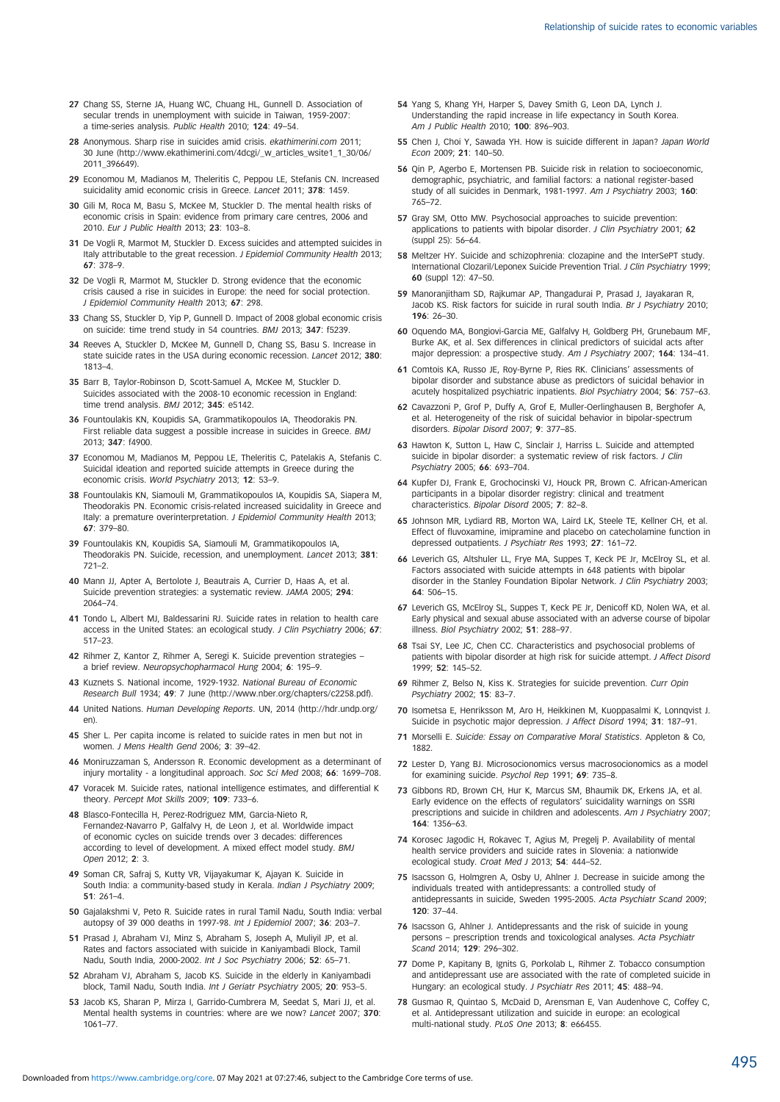- 27 Chang SS, Sterne JA, Huang WC, Chuang HL, Gunnell D. Association of secular trends in unemployment with suicide in Taiwan, 1959-2007: a time-series analysis. Public Health 2010; 124: 49–54.
- 28 Anonymous. Sharp rise in suicides amid crisis. *ekathimerini.com* 2011: 30 June (http://www.ekathimerini.com/4dcgi/\_w\_articles\_wsite1\_1\_30/06/ 2011\_396649).
- 29 Economou M, Madianos M, Theleritis C, Peppou LE, Stefanis CN. Increased suicidality amid economic crisis in Greece. Lancet 2011; 378: 1459.
- 30 Gili M, Roca M, Basu S, McKee M, Stuckler D. The mental health risks of economic crisis in Spain: evidence from primary care centres, 2006 and 2010. Eur J Public Health 2013; 23: 103–8.
- 31 De Vogli R, Marmot M, Stuckler D, Excess suicides and attempted suicides in Italy attributable to the great recession. J Epidemiol Community Health 2013; 67: 378–9.
- 32 De Vogli R, Marmot M, Stuckler D. Strong evidence that the economic crisis caused a rise in suicides in Europe: the need for social protection. J Epidemiol Community Health 2013; 67: 298.
- 33 Chang SS, Stuckler D, Yip P, Gunnell D. Impact of 2008 global economic crisis on suicide: time trend study in 54 countries. BMJ 2013; 347: f5239.
- 34 Reeves A, Stuckler D, McKee M, Gunnell D, Chang SS, Basu S. Increase in state suicide rates in the USA during economic recession. Lancet 2012; 380: 1813–4.
- 35 Barr B, Taylor-Robinson D, Scott-Samuel A, McKee M, Stuckler D. Suicides associated with the 2008-10 economic recession in England: time trend analysis. BMJ 2012; 345: e5142.
- 36 Fountoulakis KN, Koupidis SA, Grammatikopoulos IA, Theodorakis PN. First reliable data suggest a possible increase in suicides in Greece. BMJ 2013; 347: f4900.
- 37 Economou M, Madianos M, Peppou LE, Theleritis C, Patelakis A, Stefanis C. Suicidal ideation and reported suicide attempts in Greece during the economic crisis. World Psychiatry 2013; 12: 53–9.
- 38 Fountoulakis KN, Siamouli M, Grammatikopoulos IA, Koupidis SA, Siapera M, Theodorakis PN. Economic crisis-related increased suicidality in Greece and Italy: a premature overinterpretation. J Epidemiol Community Health 2013; 67: 379–80.
- 39 Fountoulakis KN, Koupidis SA, Siamouli M, Grammatikopoulos IA, Theodorakis PN. Suicide, recession, and unemployment. Lancet 2013; 381: 721–2.
- 40 Mann JJ, Apter A, Bertolote J, Beautrais A, Currier D, Haas A, et al. Suicide prevention strategies: a systematic review. JAMA 2005; 294: 2064–74.
- 41 Tondo L, Albert MJ, Baldessarini RJ. Suicide rates in relation to health care access in the United States: an ecological study. J Clin Psychiatry 2006; 67: 517–23.
- 42 Rihmer Z, Kantor Z, Rihmer A, Seregi K. Suicide prevention strategies a brief review. Neuropsychopharmacol Hung 2004; 6: 195–9.
- 43 Kuznets S. National income, 1929-1932. National Bureau of Economic Research Bull 1934; 49: 7 June (http://www.nber.org/chapters/c2258.pdf).
- 44 United Nations. Human Developing Reports. UN, 2014 (http://hdr.undp.org/ en).
- 45 Sher L. Per capita income is related to suicide rates in men but not in women. J Mens Health Gend 2006; 3: 39–42.
- 46 Moniruzzaman S, Andersson R. Economic development as a determinant of injury mortality - a longitudinal approach. Soc Sci Med 2008; 66: 1699–708.
- 47 Voracek M. Suicide rates, national intelligence estimates, and differential K theory. Percept Mot Skills 2009; 109: 733-6.
- 48 Blasco-Fontecilla H, Perez-Rodriguez MM, Garcia-Nieto R, Fernandez-Navarro P, Galfalvy H, de Leon J, et al. Worldwide impact of economic cycles on suicide trends over 3 decades: differences according to level of development. A mixed effect model study. BMJ Open 2012; 2: 3.
- 49 Soman CR, Safraj S, Kutty VR, Vijayakumar K, Ajayan K. Suicide in South India: a community-based study in Kerala. Indian J Psychiatry 2009; 51: 261–4.
- 50 Gajalakshmi V, Peto R. Suicide rates in rural Tamil Nadu, South India: verbal autopsy of 39 000 deaths in 1997-98. Int J Epidemiol 2007; 36: 203–7.
- 51 Prasad J, Abraham VJ, Minz S, Abraham S, Joseph A, Muliyil JP, et al. Rates and factors associated with suicide in Kaniyambadi Block, Tamil Nadu, South India, 2000-2002. Int J Soc Psychiatry 2006; 52: 65–71.
- 52 Abraham VJ, Abraham S, Jacob KS. Suicide in the elderly in Kaniyambadi block, Tamil Nadu, South India. Int J Geriatr Psychiatry 2005; 20: 953-5.
- 53 Jacob KS, Sharan P, Mirza I, Garrido-Cumbrera M, Seedat S, Mari JJ, et al. Mental health systems in countries: where are we now? Lancet 2007; 370: 1061–77.
- 54 Yang S, Khang YH, Harper S, Davey Smith G, Leon DA, Lynch J. Understanding the rapid increase in life expectancy in South Korea. Am J Public Health 2010: **100**: 896-903.
- 55 Chen J, Choi Y, Sawada YH. How is suicide different in Japan? Japan World Econ 2009; 21: 140–50.
- 56 Qin P, Agerbo E, Mortensen PB. Suicide risk in relation to socioeconomic, demographic, psychiatric, and familial factors: a national register-based study of all suicides in Denmark, 1981-1997. Am J Psychiatry 2003; 160: 765–72.
- 57 Gray SM, Otto MW, Psychosocial approaches to suicide prevention: applications to patients with bipolar disorder. J Clin Psychiatry 2001; 62 (suppl 25): 56–64.
- 58 Meltzer HY. Suicide and schizophrenia: clozapine and the InterSePT study. International Clozaril/Leponex Suicide Prevention Trial. J Clin Psychiatry 1999; 60 (suppl 12): 47–50.
- 59 Manoranjitham SD, Rajkumar AP, Thangadurai P, Prasad J, Jayakaran R, Jacob KS. Risk factors for suicide in rural south India. Br J Psychiatry 2010; 196: 26–30.
- 60 Oquendo MA, Bongiovi-Garcia ME, Galfalvy H, Goldberg PH, Grunebaum MF, Burke AK, et al. Sex differences in clinical predictors of suicidal acts after major depression: a prospective study. Am J Psychiatry 2007; 164: 134–41.
- 61 Comtois KA, Russo JE, Roy-Byrne P, Ries RK. Clinicians' assessments of bipolar disorder and substance abuse as predictors of suicidal behavior in acutely hospitalized psychiatric inpatients. Biol Psychiatry 2004; 56: 757–63.
- 62 Cavazzoni P, Grof P, Duffy A, Grof E, Muller-Oerlinghausen B, Berghofer A, et al. Heterogeneity of the risk of suicidal behavior in bipolar-spectrum disorders. Bipolar Disord 2007; 9: 377–85.
- 63 Hawton K, Sutton L, Haw C, Sinclair J, Harriss L. Suicide and attempted suicide in bipolar disorder: a systematic review of risk factors. J Clin Psychiatry 2005; 66: 693–704.
- 64 Kupfer DJ, Frank E, Grochocinski VJ, Houck PR, Brown C. African-American participants in a bipolar disorder registry: clinical and treatment characteristics. Bipolar Disord 2005; 7: 82–8.
- 65 Johnson MR, Lydiard RB, Morton WA, Laird LK, Steele TE, Kellner CH, et al. Effect of fluvoxamine, imipramine and placebo on catecholamine function in depressed outpatients. J Psychiatr Res 1993; 27: 161–72.
- 66 Leverich GS, Altshuler LL, Frye MA, Suppes T, Keck PE Jr, McElroy SL, et al. Factors associated with suicide attempts in 648 patients with bipolar disorder in the Stanley Foundation Bipolar Network. J Clin Psychiatry 2003; 64: 506–15.
- 67 Leverich GS, McElroy SL, Suppes T, Keck PE Jr, Denicoff KD, Nolen WA, et al. Early physical and sexual abuse associated with an adverse course of bipolar illness. Biol Psychiatry 2002; 51: 288–97.
- 68 Tsai SY, Lee JC, Chen CC. Characteristics and psychosocial problems of patients with bipolar disorder at high risk for suicide attempt. J Affect Disord 1999; 52: 145–52.
- 69 Rihmer Z, Belso N, Kiss K. Strategies for suicide prevention. Curr Opin Psychiatry 2002; 15: 83–7.
- 70 Isometsa E, Henriksson M, Aro H, Heikkinen M, Kuoppasalmi K, Lonnqvist J. Suicide in psychotic major depression. J Affect Disord 1994: 31: 187-91.
- 71 Morselli E. Suicide: Essay on Comparative Moral Statistics. Appleton & Co, 1882.
- 72 Lester D, Yang BJ. Microsocionomics versus macrosocionomics as a model for examining suicide. Psychol Rep 1991; 69: 735–8.
- 73 Gibbons RD, Brown CH, Hur K, Marcus SM, Bhaumik DK, Erkens JA, et al. Early evidence on the effects of regulators' suicidality warnings on SSRI prescriptions and suicide in children and adolescents. Am J Psychiatry 2007; 164: 1356–63.
- 74 Korosec Jagodic H, Rokavec T, Agius M, Pregelj P. Availability of mental health service providers and suicide rates in Slovenia: a nationwide ecological study. Croat Med J 2013; 54: 444–52.
- 75 Isacsson G, Holmgren A, Osby U, Ahlner J. Decrease in suicide among the individuals treated with antidepressants: a controlled study of antidepressants in suicide, Sweden 1995-2005. Acta Psychiatr Scand 2009; 120: 37–44.
- 76 Isacsson G, Ahlner J. Antidepressants and the risk of suicide in young persons – prescription trends and toxicological analyses. Acta Psychiatr Scand 2014; 129: 296–302.
- 77 Dome P, Kapitany B, Ignits G, Porkolab L, Rihmer Z. Tobacco consumption and antidepressant use are associated with the rate of completed suicide in Hungary: an ecological study. J Psychiatr Res 2011; 45: 488-94.
- 78 Gusmao R, Quintao S, McDaid D, Arensman E, Van Audenhove C, Coffey C, et al. Antidepressant utilization and suicide in europe: an ecological multi-national study. PLoS One 2013; 8: e66455.